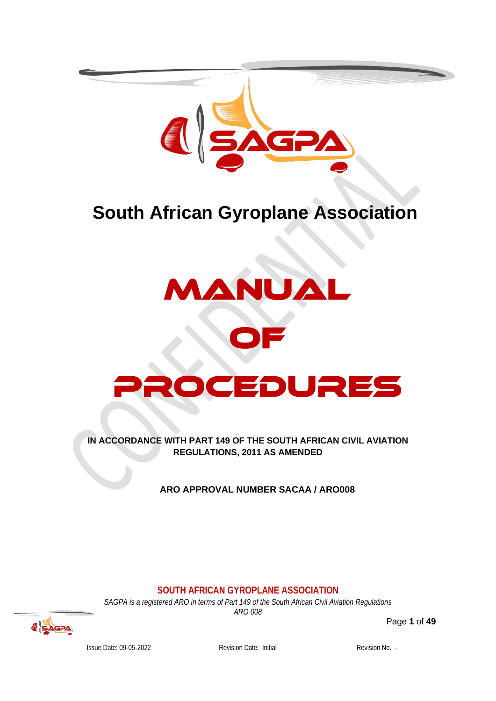

# **South African Gyroplane Association**

# **MANU**

# PROCEDURES

OF

**IN ACCORDANCE WITH PART 149 OF THE SOUTH AFRICAN CIVIL AVIATION REGULATIONS, 2011 AS AMENDED**

**ARO APPROVAL NUMBER SACAA / ARO008**

# **SOUTH AFRICAN GYROPLANE ASSOCIATION**

*SAGPA is a registered ARO in terms of Part 149 of the South African Civil Aviation Regulations ARO 008*



Issue Date: 09-05-2022 Revision Date: Initial Revision No. -

Page **1** of **49**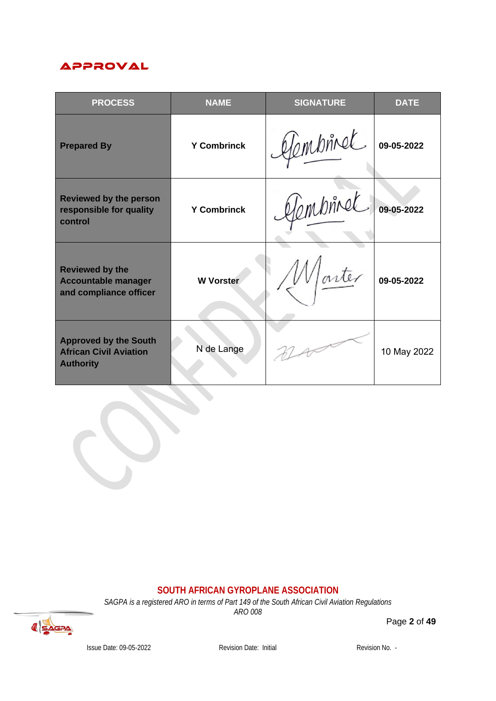

| <b>PROCESS</b>                                                                    | <b>NAME</b>        | <b>SIGNATURE</b>     | <b>DATE</b> |
|-----------------------------------------------------------------------------------|--------------------|----------------------|-------------|
| <b>Prepared By</b>                                                                | <b>Y Combrinck</b> | Gembrinet 09-05-2022 |             |
| <b>Reviewed by the person</b><br>responsible for quality<br>control               | <b>Y Combrinck</b> | Gémbrinet 09-05-2022 |             |
| <b>Reviewed by the</b><br><b>Accountable manager</b><br>and compliance officer    | <b>W Vorster</b>   | Warter               | 09-05-2022  |
| <b>Approved by the South</b><br><b>African Civil Aviation</b><br><b>Authority</b> | N de Lange         |                      | 10 May 2022 |

# **SOUTH AFRICAN GYROPLANE ASSOCIATION**

*SAGPA is a registered ARO in terms of Part 149 of the South African Civil Aviation Regulations ARO 008*



 $\overline{\phantom{a}}$ 

Page **2** of **49**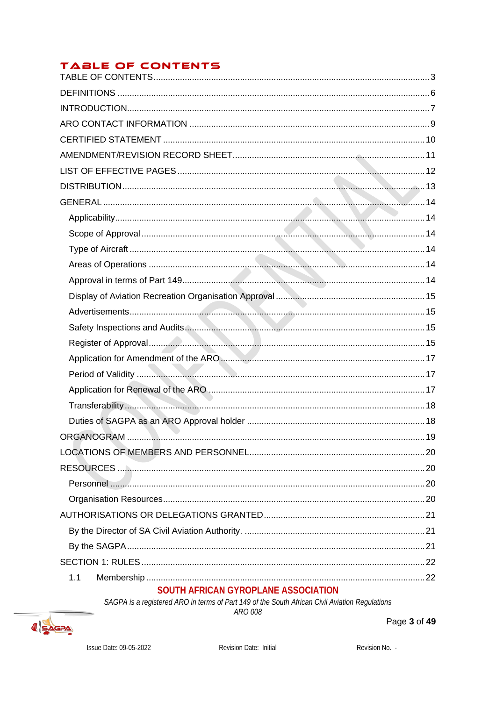# <span id="page-2-0"></span>**TABLE OF CONTENTS**

| 1.1 |  |
|-----|--|
|     |  |

# SOUTH AFRICAN GYROPLANE ASSOCIATION

SAGPA is a registered ARO in terms of Part 149 of the South African Civil Aviation Regulations

ARO 008





Revision Date: Initial

Revision No. -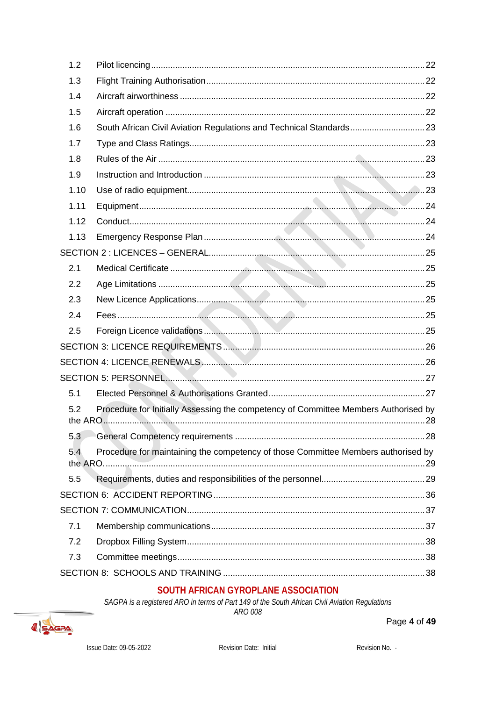| 1.2  |                                                                                     |  |
|------|-------------------------------------------------------------------------------------|--|
| 1.3  |                                                                                     |  |
| 1.4  |                                                                                     |  |
| 1.5  |                                                                                     |  |
| 1.6  |                                                                                     |  |
| 1.7  |                                                                                     |  |
| 1.8  |                                                                                     |  |
| 1.9  |                                                                                     |  |
| 1.10 |                                                                                     |  |
| 1.11 |                                                                                     |  |
| 1.12 |                                                                                     |  |
| 1.13 |                                                                                     |  |
|      |                                                                                     |  |
| 2.1  |                                                                                     |  |
| 2.2  |                                                                                     |  |
| 2.3  |                                                                                     |  |
| 2.4  |                                                                                     |  |
| 2.5  |                                                                                     |  |
|      |                                                                                     |  |
|      |                                                                                     |  |
|      |                                                                                     |  |
| 5.1  |                                                                                     |  |
| 5.2  | Procedure for Initially Assessing the competency of Committee Members Authorised by |  |
| 5.3  |                                                                                     |  |
| 5.4  | Procedure for maintaining the competency of those Committee Members authorised by   |  |
| 5.5  |                                                                                     |  |
|      |                                                                                     |  |
|      |                                                                                     |  |
| 7.1  |                                                                                     |  |
| 7.2  |                                                                                     |  |
| 7.3  |                                                                                     |  |
|      |                                                                                     |  |

# SOUTH AFRICAN GYROPLANE ASSOCIATION

SAGPA is a registered ARO in terms of Part 149 of the South African Civil Aviation Regulations

ARO 008



Revision Date: Initial

Revision No. -

Page 4 of 49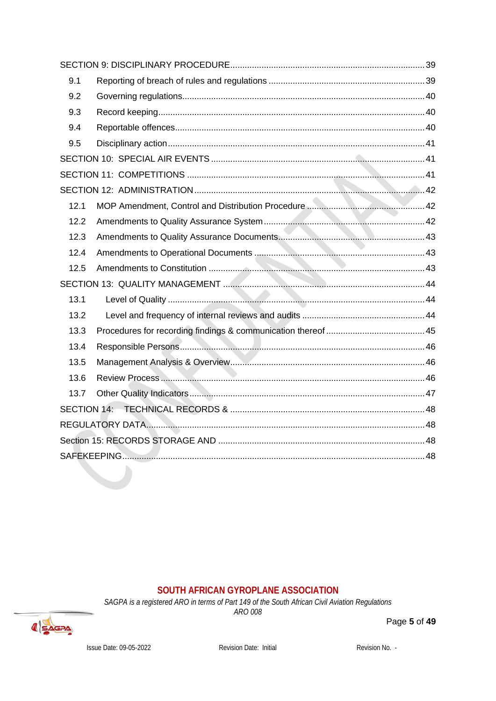| 9.1  |  |
|------|--|
| 9.2  |  |
| 9.3  |  |
| 9.4  |  |
| 9.5  |  |
|      |  |
|      |  |
|      |  |
| 12.1 |  |
| 12.2 |  |
| 12.3 |  |
| 12.4 |  |
| 12.5 |  |
|      |  |
| 13.1 |  |
| 13.2 |  |
| 13.3 |  |
| 13.4 |  |
| 13.5 |  |
| 13.6 |  |
| 13.7 |  |
|      |  |
|      |  |
|      |  |
|      |  |
|      |  |
|      |  |

# SOUTH AFRICAN GYROPLANE ASSOCIATION

SAGPA is a registered ARO in terms of Part 149 of the South African Civil Aviation Regulations ARO 008 Page 5 of 49



Revision Date: Initial

Revision No. -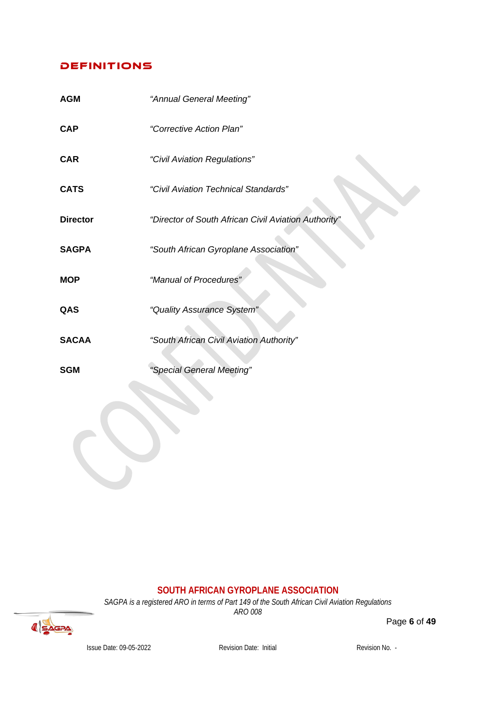# <span id="page-5-0"></span>**DEFINITIONS**

| <b>AGM</b>      | "Annual General Meeting"                             |  |  |
|-----------------|------------------------------------------------------|--|--|
| <b>CAP</b>      | "Corrective Action Plan"                             |  |  |
| <b>CAR</b>      | "Civil Aviation Regulations"                         |  |  |
| <b>CATS</b>     | "Civil Aviation Technical Standards"                 |  |  |
| <b>Director</b> | "Director of South African Civil Aviation Authority" |  |  |
| <b>SAGPA</b>    | "South African Gyroplane Association"                |  |  |
| <b>MOP</b>      | "Manual of Procedures"                               |  |  |
| QAS             | "Quality Assurance System"                           |  |  |
| <b>SACAA</b>    | "South African Civil Aviation Authority"             |  |  |
| <b>SGM</b>      | "Special General Meeting"                            |  |  |
|                 |                                                      |  |  |

# **SOUTH AFRICAN GYROPLANE ASSOCIATION**

*SAGPA is a registered ARO in terms of Part 149 of the South African Civil Aviation Regulations ARO 008*



Page **6** of **49**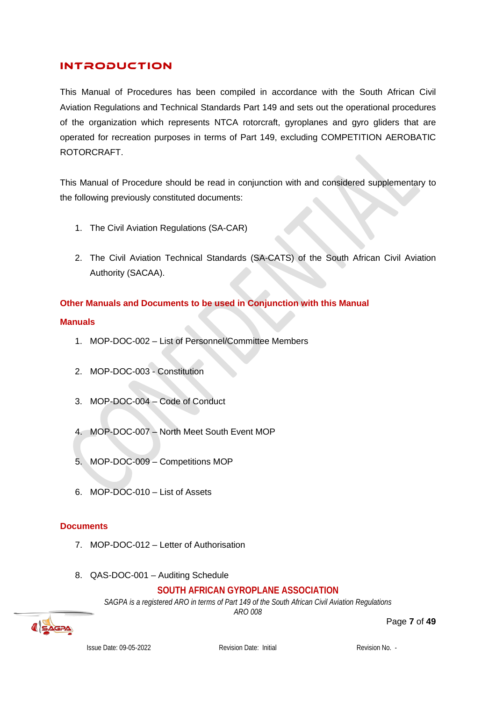# <span id="page-6-0"></span>INTRODUCTION

This Manual of Procedures has been compiled in accordance with the South African Civil Aviation Regulations and Technical Standards Part 149 and sets out the operational procedures of the organization which represents NTCA rotorcraft, gyroplanes and gyro gliders that are operated for recreation purposes in terms of Part 149, excluding COMPETITION AEROBATIC ROTORCRAFT.

This Manual of Procedure should be read in conjunction with and considered supplementary to the following previously constituted documents:

- 1. The Civil Aviation Regulations (SA-CAR)
- 2. The Civil Aviation Technical Standards (SA-CATS) of the South African Civil Aviation Authority (SACAA).

### **Other Manuals and Documents to be used in Conjunction with this Manual**

### **Manuals**

- 1. MOP-DOC-002 List of Personnel/Committee Members
- 2. MOP-DOC-003 Constitution
- 3. MOP-DOC-004 Code of Conduct
- 4. MOP-DOC-007 North Meet South Event MOP
- 5. MOP-DOC-009 Competitions MOP
- 6. MOP-DOC-010 List of Assets

### **Documents**

- 7. MOP-DOC-012 Letter of Authorisation
- 8. QAS-DOC-001 Auditing Schedule

### **SOUTH AFRICAN GYROPLANE ASSOCIATION**

*SAGPA is a registered ARO in terms of Part 149 of the South African Civil Aviation Regulations ARO 008*



Issue Date: 09-05-2022 Revision Date: Initial Revision No. -

Page **7** of **49**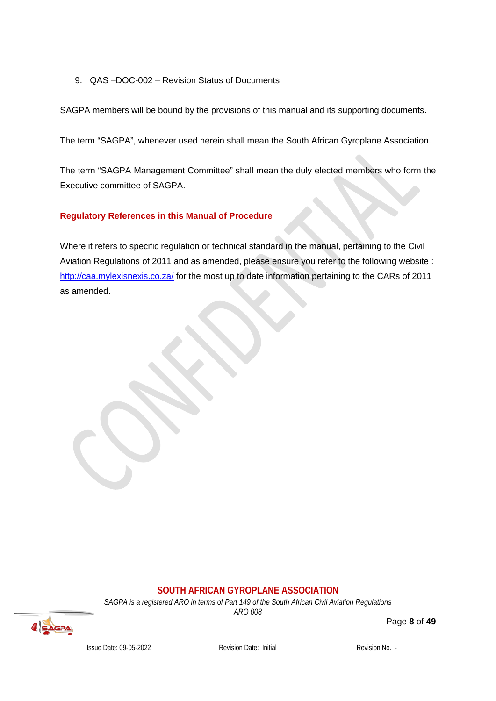9. QAS –DOC-002 – Revision Status of Documents

SAGPA members will be bound by the provisions of this manual and its supporting documents.

The term "SAGPA", whenever used herein shall mean the South African Gyroplane Association.

The term "SAGPA Management Committee" shall mean the duly elected members who form the Executive committee of SAGPA.

### **Regulatory References in this Manual of Procedure**

Where it refers to specific regulation or technical standard in the manual, pertaining to the Civil Aviation Regulations of 2011 and as amended, please ensure you refer to the following website : <http://caa.mylexisnexis.co.za/> for the most up to date information pertaining to the CARs of 2011 as amended.

# **SOUTH AFRICAN GYROPLANE ASSOCIATION**

*SAGPA is a registered ARO in terms of Part 149 of the South African Civil Aviation Regulations ARO 008*



Issue Date: 09-05-2022 Revision Date: Initial Revision No. -

Page **8** of **49**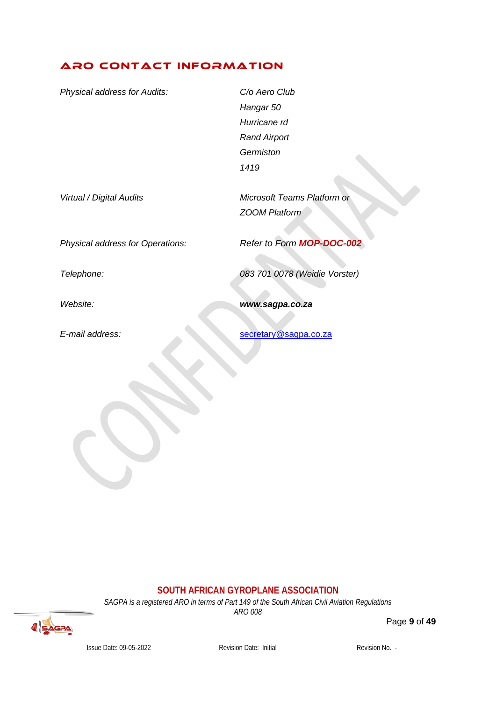# <span id="page-8-0"></span>ARO CONTACT INFORMATION

*Physical address for Audits: C/o Aero Club* 

*Hangar 50 Hurricane rd Rand Airport Germiston 1419*

*Virtual / Digital Audits Microsoft Teams Platform or ZOOM Platform*

*Physical address for Operations: Refer to Form MOP-DOC-002*

*Telephone: 083 701 0078 (Weidie Vorster)*

*Website: www.sagpa.co.za*

*E-mail address:* [secretary@sagpa.co.za](mailto:secretary@sagpa.co.za)

# **SOUTH AFRICAN GYROPLANE ASSOCIATION**

*SAGPA is a registered ARO in terms of Part 149 of the South African Civil Aviation Regulations ARO 008*



Issue Date: 09-05-2022 Revision Date: Initial Revision No. -

Page **9** of **49**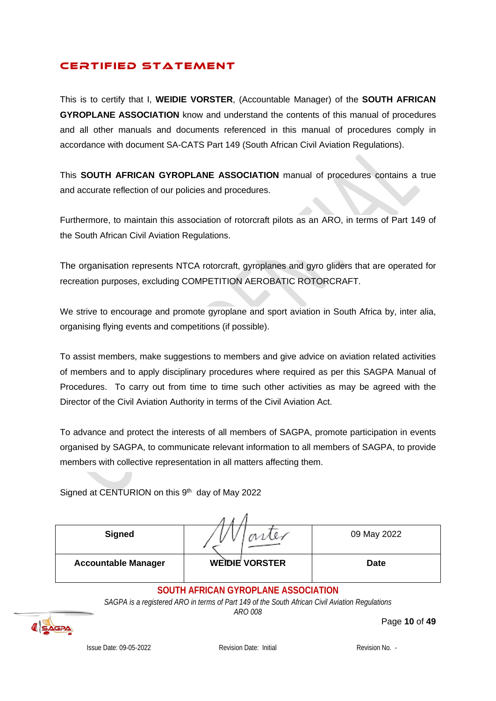# <span id="page-9-0"></span>CERTIFIED STATEMENT

This is to certify that I, **WEIDIE VORSTER**, (Accountable Manager) of the **SOUTH AFRICAN GYROPLANE ASSOCIATION** know and understand the contents of this manual of procedures and all other manuals and documents referenced in this manual of procedures comply in accordance with document SA-CATS Part 149 (South African Civil Aviation Regulations).

This **SOUTH AFRICAN GYROPLANE ASSOCIATION** manual of procedures contains a true and accurate reflection of our policies and procedures.

Furthermore, to maintain this association of rotorcraft pilots as an ARO, in terms of Part 149 of the South African Civil Aviation Regulations.

The organisation represents NTCA rotorcraft, gyroplanes and gyro gliders that are operated for recreation purposes, excluding COMPETITION AEROBATIC ROTORCRAFT.

We strive to encourage and promote gyroplane and sport aviation in South Africa by, inter alia, organising flying events and competitions (if possible).

To assist members, make suggestions to members and give advice on aviation related activities of members and to apply disciplinary procedures where required as per this SAGPA Manual of Procedures. To carry out from time to time such other activities as may be agreed with the Director of the Civil Aviation Authority in terms of the Civil Aviation Act.

To advance and protect the interests of all members of SAGPA, promote participation in events organised by SAGPA, to communicate relevant information to all members of SAGPA, to provide members with collective representation in all matters affecting them.

Signed at CENTURION on this  $9<sup>th</sup>$  day of May 2022

| <b>Signed</b>                       |                       | 09 May 2022 |  |  |
|-------------------------------------|-----------------------|-------------|--|--|
| <b>Accountable Manager</b>          | <b>WEIDIE VORSTER</b> |             |  |  |
| SOUTH AFRICAN GYROPLANE ASSOCIATION |                       |             |  |  |

*SAGPA is a registered ARO in terms of Part 149 of the South African Civil Aviation Regulations ARO 008*



Issue Date: 09-05-2022 Revision Date: Initial Revision No. -

Page **10** of **49**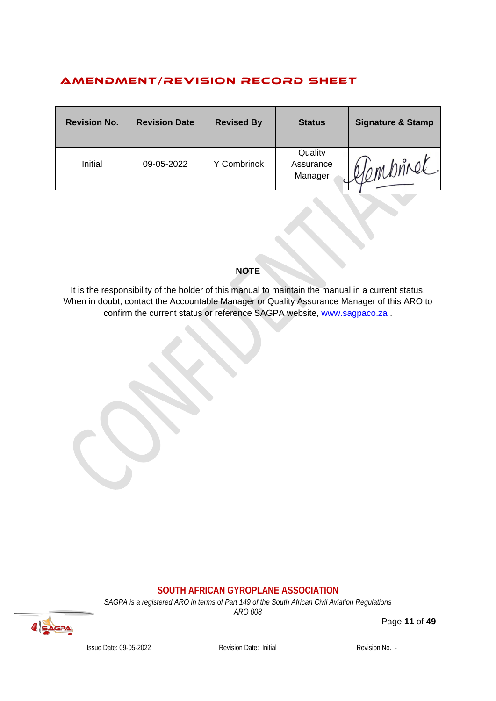# <span id="page-10-0"></span>AMENDMENT/REVISION RECORD SHEET

| <b>Revision No.</b> | <b>Revision Date</b> | <b>Revised By</b> | <b>Status</b>                   | <b>Signature &amp; Stamp</b> |
|---------------------|----------------------|-------------------|---------------------------------|------------------------------|
| Initial             | 09-05-2022           | Y Combrinck       | Quality<br>Assurance<br>Manager | WILLINGTH                    |

### **NOTE**

It is the responsibility of the holder of this manual to maintain the manual in a current status. When in doubt, contact the Accountable Manager or Quality Assurance Manager of this ARO to confirm the current status or reference SAGPA website, [www.sagpaco.za](http://www.sagpaco.za/).

# **SOUTH AFRICAN GYROPLANE ASSOCIATION**

*SAGPA is a registered ARO in terms of Part 149 of the South African Civil Aviation Regulations ARO 008*



Issue Date: 09-05-2022 Revision Date: Initial Revision Date: Initial Revision No. -

Page **11** of **49**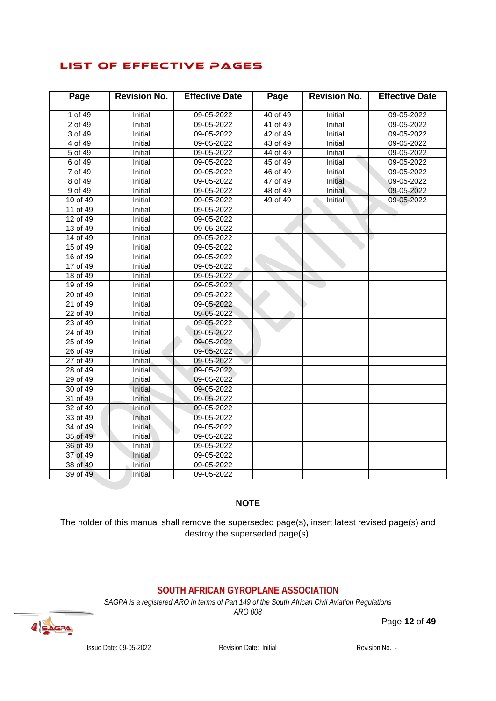# <span id="page-11-0"></span>LIST OF EFFECTIVE PAGES

| Page     | <b>Revision No.</b> | <b>Effective Date</b> | Page     | <b>Revision No.</b> | <b>Effective Date</b> |
|----------|---------------------|-----------------------|----------|---------------------|-----------------------|
| 1 of 49  | Initial             | 09-05-2022            | 40 of 49 | Initial             | 09-05-2022            |
| 2 of 49  | Initial             | 09-05-2022            | 41 of 49 | Initial             | 09-05-2022            |
| 3 of 49  | Initial             | 09-05-2022            | 42 of 49 | Initial             | 09-05-2022            |
| 4 of 49  | Initial             | 09-05-2022            | 43 of 49 | Initial             | 09-05-2022            |
| 5 of 49  | Initial             | 09-05-2022            | 44 of 49 | Initial             | 09-05-2022            |
| 6 of 49  | Initial             | 09-05-2022            | 45 of 49 | Initial             | 09-05-2022            |
| 7 of 49  | Initial             | 09-05-2022            | 46 of 49 | Initial             | 09-05-2022            |
| 8 of 49  | Initial             | 09-05-2022            | 47 of 49 | Initial             | 09-05-2022            |
| 9 of 49  | Initial             | 09-05-2022            | 48 of 49 | Initial             | 09-05-2022            |
| 10 of 49 | Initial             | 09-05-2022            | 49 of 49 | Initial             | 09-05-2022            |
| 11 of 49 | Initial             | 09-05-2022            |          |                     |                       |
| 12 of 49 | Initial             | 09-05-2022            |          |                     |                       |
| 13 of 49 | Initial             | 09-05-2022            |          |                     |                       |
| 14 of 49 | Initial             | 09-05-2022            |          |                     |                       |
| 15 of 49 | Initial             | 09-05-2022            |          |                     |                       |
| 16 of 49 | Initial             | 09-05-2022            |          |                     |                       |
| 17 of 49 | Initial             | 09-05-2022            |          |                     |                       |
| 18 of 49 | Initial             | 09-05-2022            |          |                     |                       |
| 19 of 49 | Initial             | 09-05-2022            |          |                     |                       |
| 20 of 49 | Initial             | 09-05-2022            |          |                     |                       |
| 21 of 49 | Initial             | 09-05-2022            |          |                     |                       |
| 22 of 49 | Initial             | 09-05-2022            |          |                     |                       |
| 23 of 49 | Initial             | 09-05-2022            |          |                     |                       |
| 24 of 49 | Initial             | 09-05-2022            | e.       |                     |                       |
| 25 of 49 | Initial             | 09-05-2022            |          |                     |                       |
| 26 of 49 | Initial             | 09-05-2022            |          |                     |                       |
| 27 of 49 | <b>Initial</b>      | 09-05-2022            |          |                     |                       |
| 28 of 49 | Initial             | 09-05-2022            |          |                     |                       |
| 29 of 49 | Initial             | 09-05-2022            |          |                     |                       |
| 30 of 49 | Initial             | 09-05-2022            |          |                     |                       |
| 31 of 49 | Initial             | 09-05-2022            |          |                     |                       |
| 32 of 49 | Initial             | 09-05-2022            |          |                     |                       |
| 33 of 49 | Initial             | 09-05-2022            |          |                     |                       |
| 34 of 49 | Initial             | 09-05-2022            |          |                     |                       |
| 35 of 49 | Initial             | 09-05-2022            |          |                     |                       |
| 36 of 49 | Initial             | 09-05-2022            |          |                     |                       |
| 37 of 49 | Initial             | 09-05-2022            |          |                     |                       |
| 38 of 49 | Initial             | 09-05-2022            |          |                     |                       |
| 39 of 49 | Initial             | 09-05-2022            |          |                     |                       |

### **NOTE**

The holder of this manual shall remove the superseded page(s), insert latest revised page(s) and destroy the superseded page(s).

# **SOUTH AFRICAN GYROPLANE ASSOCIATION**

*SAGPA is a registered ARO in terms of Part 149 of the South African Civil Aviation Regulations ARO 008*



Issue Date: 09-05-2022 Revision Date: Initial Revision No. -

Page **12** of **49**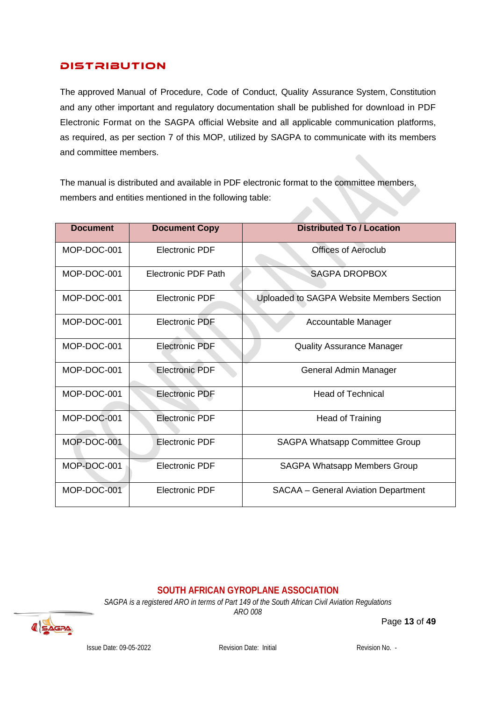# <span id="page-12-0"></span>**DISTRIBUTION**

The approved Manual of Procedure, Code of Conduct, Quality Assurance System, Constitution and any other important and regulatory documentation shall be published for download in PDF Electronic Format on the SAGPA official Website and all applicable communication platforms, as required, as per section 7 of this MOP, utilized by SAGPA to communicate with its members and committee members.

The manual is distributed and available in PDF electronic format to the committee members, members and entities mentioned in the following table:

| <b>Document</b> | <b>Distributed To / Location</b><br><b>Document Copy</b> |                                            |
|-----------------|----------------------------------------------------------|--------------------------------------------|
| MOP-DOC-001     | Electronic PDF                                           | <b>Offices of Aeroclub</b>                 |
| MOP-DOC-001     | Electronic PDF Path                                      | <b>SAGPA DROPBOX</b>                       |
| MOP-DOC-001     | Electronic PDF                                           | Uploaded to SAGPA Website Members Section  |
| MOP-DOC-001     | Electronic PDF                                           | Accountable Manager                        |
| MOP-DOC-001     | <b>Electronic PDF</b>                                    | <b>Quality Assurance Manager</b>           |
| MOP-DOC-001     | <b>Electronic PDF</b>                                    | General Admin Manager                      |
| MOP-DOC-001     | <b>Electronic PDF</b>                                    | <b>Head of Technical</b>                   |
| MOP-DOC-001     | Electronic PDF                                           | Head of Training                           |
| MOP-DOC-001     | Electronic PDF                                           | <b>SAGPA Whatsapp Committee Group</b>      |
| MOP-DOC-001     | Electronic PDF                                           | <b>SAGPA Whatsapp Members Group</b>        |
| MOP-DOC-001     | Electronic PDF                                           | <b>SACAA</b> – General Aviation Department |

### **SOUTH AFRICAN GYROPLANE ASSOCIATION**

*SAGPA is a registered ARO in terms of Part 149 of the South African Civil Aviation Regulations ARO 008*



Page **13** of **49**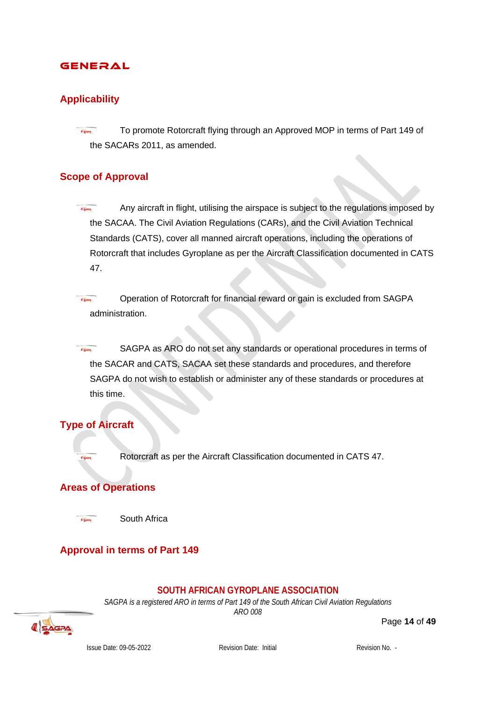# <span id="page-13-0"></span>**GENERAL**

# <span id="page-13-1"></span>**Applicability**

To promote Rotorcraft flying through an Approved MOP in terms of Part 149 of the SACARs 2011, as amended.

### <span id="page-13-2"></span>**Scope of Approval**

- Any aircraft in flight, utilising the airspace is subject to the regulations imposed by **Com** the SACAA. The Civil Aviation Regulations (CARs), and the Civil Aviation Technical Standards (CATS), cover all manned aircraft operations, including the operations of Rotorcraft that includes Gyroplane as per the Aircraft Classification documented in CATS 47.
- Operation of Rotorcraft for financial reward or gain is excluded from SAGPA **Com** administration.
- SAGPA as ARO do not set any standards or operational procedures in terms of a duna the SACAR and CATS, SACAA set these standards and procedures, and therefore SAGPA do not wish to establish or administer any of these standards or procedures at this time.

### <span id="page-13-3"></span>**Type of Aircraft**

Rotorcraft as per the Aircraft Classification documented in CATS 47.

### <span id="page-13-4"></span>**Areas of Operations**

South Africa

### <span id="page-13-5"></span>**Approval in terms of Part 149**

### **SOUTH AFRICAN GYROPLANE ASSOCIATION**

*SAGPA is a registered ARO in terms of Part 149 of the South African Civil Aviation Regulations ARO 008*



Issue Date: 09-05-2022 Revision Date: Initial Revision No. -

Page **14** of **49**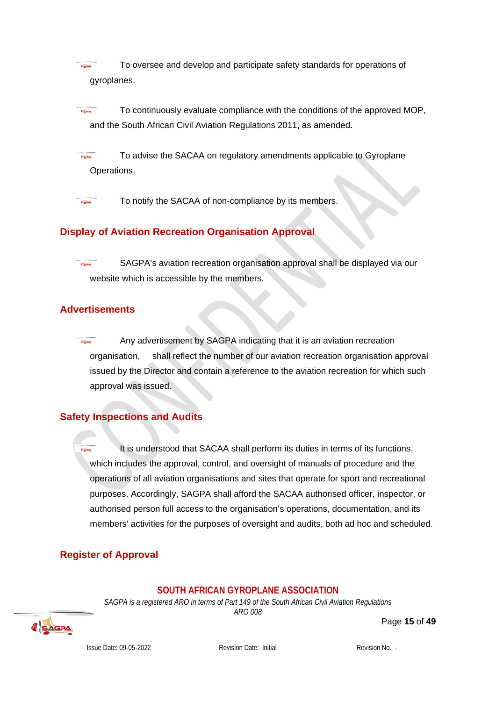To oversee and develop and participate safety standards for operations of gyroplanes.

To continuously evaluate compliance with the conditions of the approved MOP, and the South African Civil Aviation Regulations 2011, as amended.

To advise the SACAA on regulatory amendments applicable to Gyroplane d game Operations.

To notify the SACAA of non-compliance by its members.

# <span id="page-14-0"></span>**Display of Aviation Recreation Organisation Approval**

SAGPA's aviation recreation organisation approval shall be displayed via our al Blond website which is accessible by the members.

### <span id="page-14-1"></span>**Advertisements**

Any advertisement by SAGPA indicating that it is an aviation recreation organisation, shall reflect the number of our aviation recreation organisation approval issued by the Director and contain a reference to the aviation recreation for which such approval was issued.

# <span id="page-14-2"></span>**Safety Inspections and Audits**

It is understood that SACAA shall perform its duties in terms of its functions, which includes the approval, control, and oversight of manuals of procedure and the operations of all aviation organisations and sites that operate for sport and recreational purposes. Accordingly, SAGPA shall afford the SACAA authorised officer, inspector, or authorised person full access to the organisation's operations, documentation, and its members' activities for the purposes of oversight and audits, both ad hoc and scheduled.

# <span id="page-14-3"></span>**Register of Approval**

### **SOUTH AFRICAN GYROPLANE ASSOCIATION**

*SAGPA is a registered ARO in terms of Part 149 of the South African Civil Aviation Regulations ARO 008* Page **15** of **49**

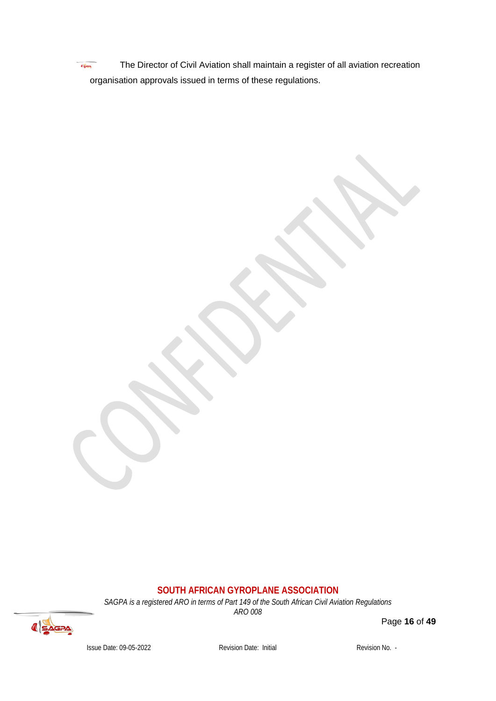The Director of Civil Aviation shall maintain a register of all aviation recreation e gang organisation approvals issued in terms of these regulations.

### **SOUTH AFRICAN GYROPLANE ASSOCIATION**

*SAGPA is a registered ARO in terms of Part 149 of the South African Civil Aviation Regulations ARO 008*



Issue Date: 09-05-2022 Revision Date: Initial Revision No. -

Page **16** of **49**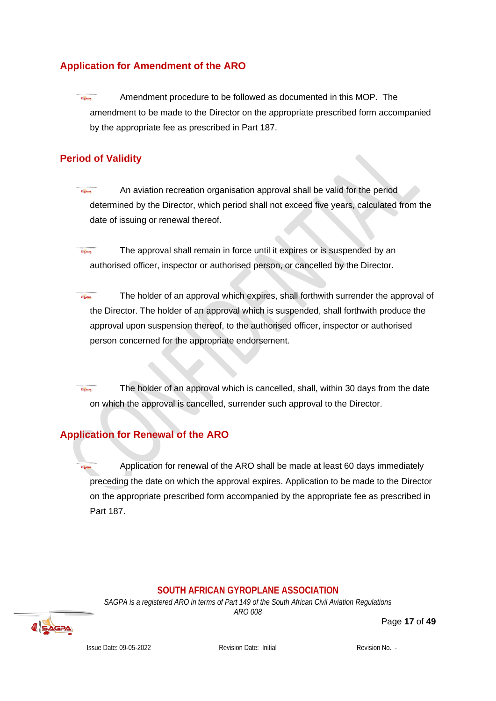# <span id="page-16-0"></span>**Application for Amendment of the ARO**

Amendment procedure to be followed as documented in this MOP. The d Bank amendment to be made to the Director on the appropriate prescribed form accompanied by the appropriate fee as prescribed in Part 187.

# <span id="page-16-1"></span>**Period of Validity**

An aviation recreation organisation approval shall be valid for the period all de determined by the Director, which period shall not exceed five years, calculated from the date of issuing or renewal thereof.

**citizen** The approval shall remain in force until it expires or is suspended by an authorised officer, inspector or authorised person, or cancelled by the Director.

The holder of an approval which expires, shall forthwith surrender the approval of  $\epsilon$ the Director. The holder of an approval which is suspended, shall forthwith produce the approval upon suspension thereof, to the authorised officer, inspector or authorised person concerned for the appropriate endorsement.

The holder of an approval which is cancelled, shall, within 30 days from the date on which the approval is cancelled, surrender such approval to the Director.

# <span id="page-16-2"></span>**Application for Renewal of the ARO**

Application for renewal of the ARO shall be made at least 60 days immediately preceding the date on which the approval expires. Application to be made to the Director on the appropriate prescribed form accompanied by the appropriate fee as prescribed in Part 187.

# **SOUTH AFRICAN GYROPLANE ASSOCIATION**

*SAGPA is a registered ARO in terms of Part 149 of the South African Civil Aviation Regulations ARO 008* Page **17** of **49**

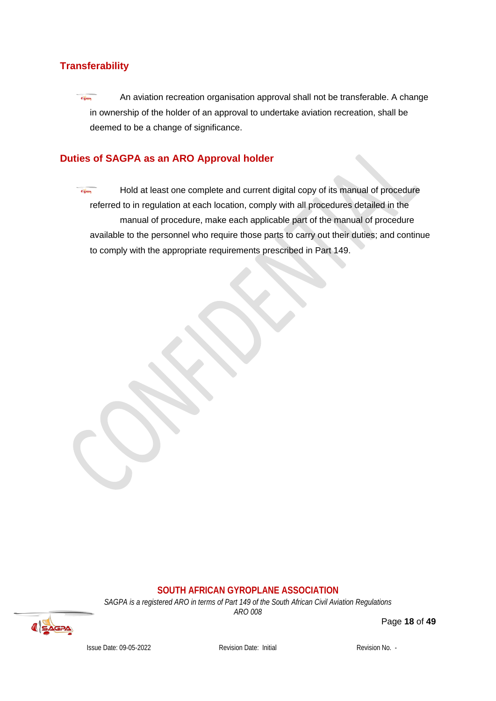# <span id="page-17-0"></span>**Transferability**

d Come An aviation recreation organisation approval shall not be transferable. A change in ownership of the holder of an approval to undertake aviation recreation, shall be deemed to be a change of significance.

# <span id="page-17-1"></span>**Duties of SAGPA as an ARO Approval holder**

Hold at least one complete and current digital copy of its manual of procedure **Allen** referred to in regulation at each location, comply with all procedures detailed in the manual of procedure, make each applicable part of the manual of procedure available to the personnel who require those parts to carry out their duties; and continue to comply with the appropriate requirements prescribed in Part 149.

# **SOUTH AFRICAN GYROPLANE ASSOCIATION**

*SAGPA is a registered ARO in terms of Part 149 of the South African Civil Aviation Regulations ARO 008*



Issue Date: 09-05-2022 Revision Date: Initial Revision No. -

Page **18** of **49**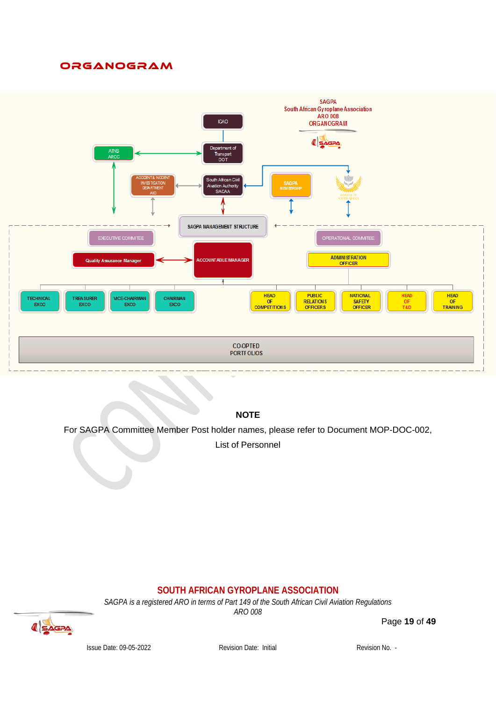# <span id="page-18-0"></span>**ORGANOGRAM**



### **NOTE**

For SAGPA Committee Member Post holder names, please refer to Document MOP-DOC-002,

List of Personnel

# **SOUTH AFRICAN GYROPLANE ASSOCIATION**

*SAGPA is a registered ARO in terms of Part 149 of the South African Civil Aviation Regulations ARO 008*



Issue Date: 09-05-2022 Revision Date: Initial Revision No. -

Page **19** of **49**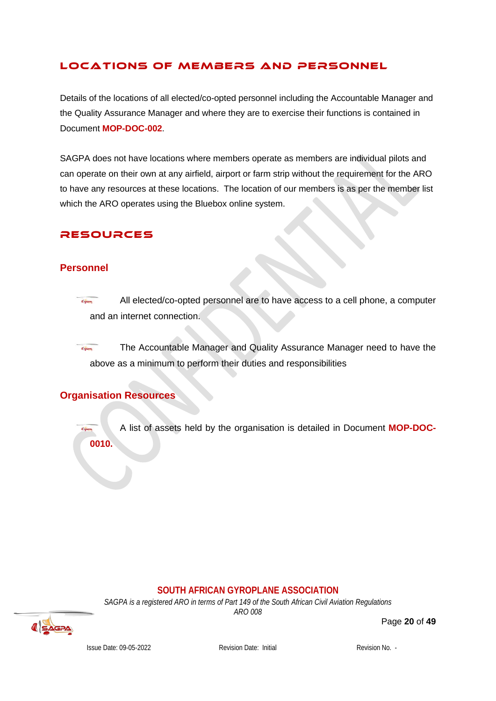# <span id="page-19-0"></span>LOCATIONS OF MEMBERS AND PERSONNEL

Details of the locations of all elected/co-opted personnel including the Accountable Manager and the Quality Assurance Manager and where they are to exercise their functions is contained in Document **MOP-DOC-002**.

SAGPA does not have locations where members operate as members are individual pilots and can operate on their own at any airfield, airport or farm strip without the requirement for the ARO to have any resources at these locations. The location of our members is as per the member list which the ARO operates using the Bluebox online system.

# <span id="page-19-1"></span>**RESOURCES**

### <span id="page-19-2"></span>**Personnel**

- All elected/co-opted personnel are to have access to a cell phone, a computer **Chains** and an internet connection.
- The Accountable Manager and Quality Assurance Manager need to have the **d'anne** above as a minimum to perform their duties and responsibilities

### <span id="page-19-3"></span>**Organisation Resources**

A list of assets held by the organisation is detailed in Document **MOP-DOC-0010.**

### **SOUTH AFRICAN GYROPLANE ASSOCIATION**

*SAGPA is a registered ARO in terms of Part 149 of the South African Civil Aviation Regulations ARO 008*



Issue Date: 09-05-2022 Revision Date: Initial Revision No. -

Page **20** of **49**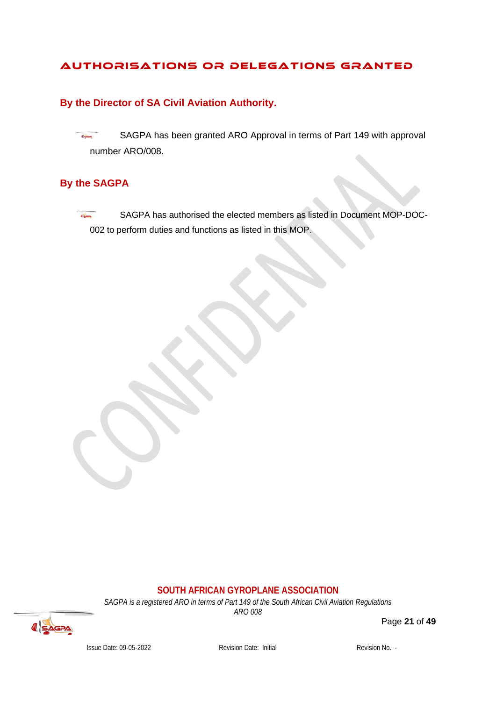# <span id="page-20-0"></span>AUTHORISATIONS OR DELEGATIONS GRANTED

# <span id="page-20-1"></span>**By the Director of SA Civil Aviation Authority.**

SAGPA has been granted ARO Approval in terms of Part 149 with approval diaman number ARO/008.

# <span id="page-20-2"></span>**By the SAGPA**

SAGPA has authorised the elected members as listed in Document MOP-DOCd Bang 002 to perform duties and functions as listed in this MOP.

### **SOUTH AFRICAN GYROPLANE ASSOCIATION**

*SAGPA is a registered ARO in terms of Part 149 of the South African Civil Aviation Regulations ARO 008*



Issue Date: 09-05-2022 Revision Date: Initial Revision Date: Initial Revision No. -

Page **21** of **49**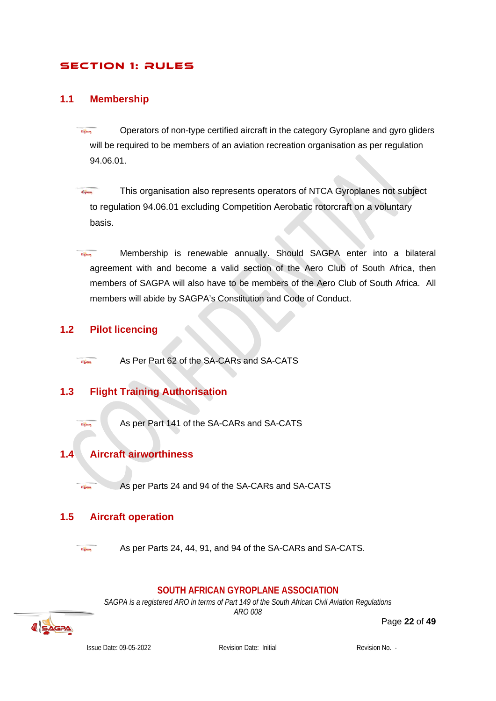# <span id="page-21-0"></span>SECTION 1: RULES

### <span id="page-21-1"></span>**1.1 Membership**

- Operators of non-type certified aircraft in the category Gyroplane and gyro gliders d Bank will be required to be members of an aviation recreation organisation as per regulation 94.06.01.
- This organisation also represents operators of NTCA Gyroplanes not subject diams. to regulation 94.06.01 excluding Competition Aerobatic rotorcraft on a voluntary basis.
- Membership is renewable annually. Should SAGPA enter into a bilateral d'étant agreement with and become a valid section of the Aero Club of South Africa, then members of SAGPA will also have to be members of the Aero Club of South Africa. All members will abide by SAGPA's Constitution and Code of Conduct.

# <span id="page-21-2"></span>**1.2 Pilot licencing**

d game

As Per Part 62 of the SA-CARs and SA-CATS

# <span id="page-21-3"></span>**1.3 Flight Training Authorisation**

As per Part 141 of the SA-CARs and SA-CATS

# <span id="page-21-4"></span>**1.4 Aircraft airworthiness**

As per Parts 24 and 94 of the SA-CARs and SA-CATS

# <span id="page-21-5"></span>**1.5 Aircraft operation**



As per Parts 24, 44, 91, and 94 of the SA-CARs and SA-CATS.

### **SOUTH AFRICAN GYROPLANE ASSOCIATION**

*SAGPA is a registered ARO in terms of Part 149 of the South African Civil Aviation Regulations ARO 008*



Issue Date: 09-05-2022 Revision Date: Initial Revision No. -

Page **22** of **49**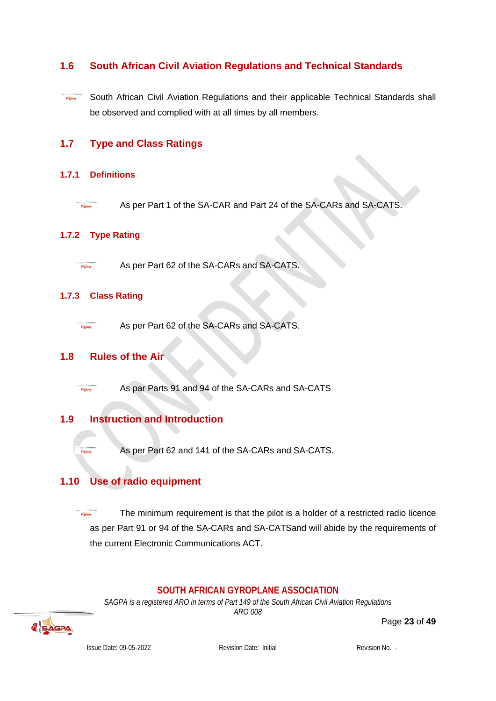# <span id="page-22-0"></span>**1.6 South African Civil Aviation Regulations and Technical Standards**

 $\epsilon$ South African Civil Aviation Regulations and their applicable Technical Standards shall be observed and complied with at all times by all members.

# <span id="page-22-1"></span>**1.7 Type and Class Ratings**

### **1.7.1 Definitions**

As per Part 1 of the SA-CAR and Part 24 of the SA-CARs and SA-CATS.

### **1.7.2 Type Rating**



As per Part 62 of the SA-CARs and SA-CATS.

### **1.7.3 Class Rating**



As per Part 62 of the SA-CARs and SA-CATS.

### <span id="page-22-2"></span>**1.8 Rules of the Air**



As par Parts 91 and 94 of the SA-CARs and SA-CATS

# <span id="page-22-3"></span>**1.9 Instruction and Introduction**

As per Part 62 and 141 of the SA-CARs and SA-CATS.

# <span id="page-22-4"></span>**1.10 Use of radio equipment**

d Chang The minimum requirement is that the pilot is a holder of a restricted radio licence as per Part 91 or 94 of the SA-CARs and SA-CATSand will abide by the requirements of the current Electronic Communications ACT.

### **SOUTH AFRICAN GYROPLANE ASSOCIATION**

*SAGPA is a registered ARO in terms of Part 149 of the South African Civil Aviation Regulations ARO 008* Page **23** of **49**

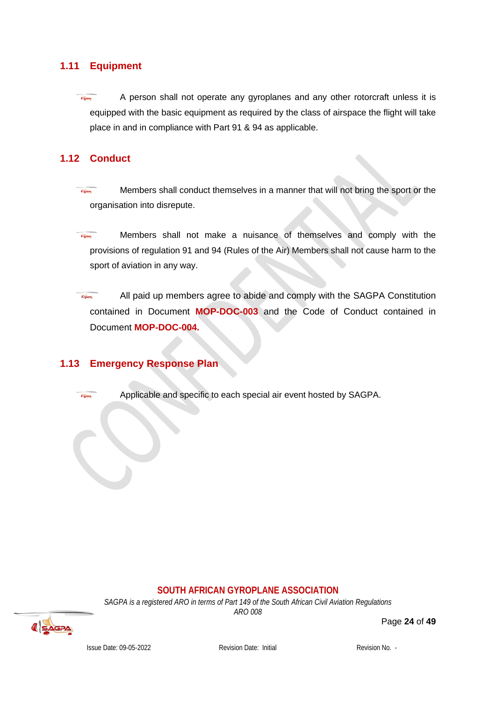# <span id="page-23-0"></span>**1.11 Equipment**

A person shall not operate any gyroplanes and any other rotorcraft unless it is d Bank equipped with the basic equipment as required by the class of airspace the flight will take place in and in compliance with Part 91 & 94 as applicable.

### <span id="page-23-1"></span>**1.12 Conduct**

- Members shall conduct themselves in a manner that will not bring the sport or the al Band organisation into disrepute.
- Members shall not make a nuisance of themselves and comply with the d'élement provisions of regulation 91 and 94 (Rules of the Air) Members shall not cause harm to the sport of aviation in any way.
- All paid up members agree to abide and comply with the SAGPA Constitution diams. contained in Document **MOP-DOC-003** and the Code of Conduct contained in Document **MOP-DOC-004.**

### <span id="page-23-2"></span>**1.13 Emergency Response Plan**

Applicable and specific to each special air event hosted by SAGPA.

### **SOUTH AFRICAN GYROPLANE ASSOCIATION**

*SAGPA is a registered ARO in terms of Part 149 of the South African Civil Aviation Regulations ARO 008*



Issue Date: 09-05-2022 Revision Date: Initial Revision No. -

Page **24** of **49**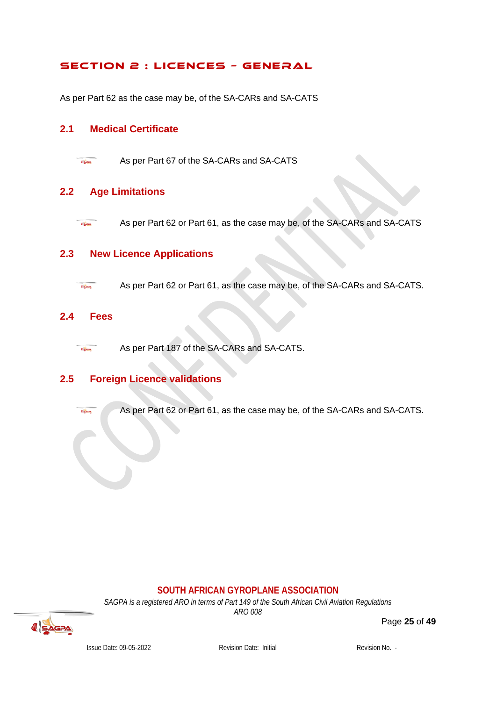# <span id="page-24-0"></span>SECTION 2 : LICENCES – GENERAL

As per Part 62 as the case may be, of the SA-CARs and SA-CATS

### <span id="page-24-1"></span>**2.1 Medical Certificate**



As per Part 67 of the SA-CARs and SA-CATS

### <span id="page-24-2"></span>**2.2 Age Limitations**

As per Part 62 or Part 61, as the case may be, of the SA-CARs and SA-CATS

### <span id="page-24-3"></span>**2.3 New Licence Applications**



As per Part 62 or Part 61, as the case may be, of the SA-CARs and SA-CATS.

### <span id="page-24-4"></span>**2.4 Fees**



As per Part 187 of the SA-CARs and SA-CATS.

### <span id="page-24-5"></span>**2.5 Foreign Licence validations**

As per Part 62 or Part 61, as the case may be, of the SA-CARs and SA-CATS.

### **SOUTH AFRICAN GYROPLANE ASSOCIATION**

*SAGPA is a registered ARO in terms of Part 149 of the South African Civil Aviation Regulations ARO 008*



Issue Date: 09-05-2022 Revision Date: Initial Revision No. -

Page **25** of **49**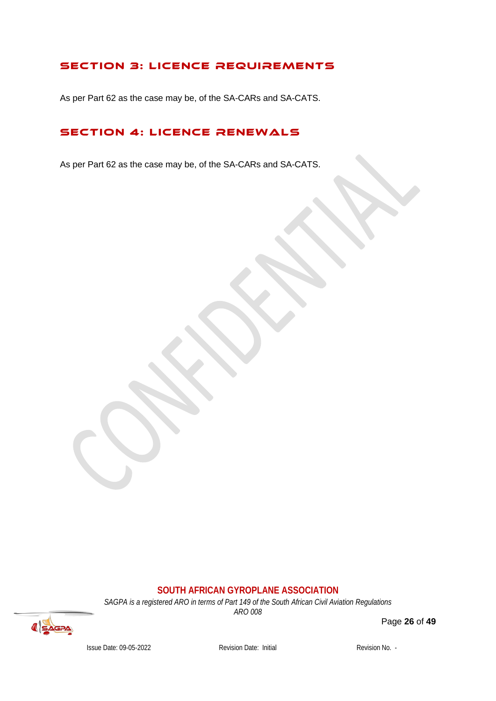# <span id="page-25-0"></span>SECTION 3: LICENCE REQUIREMENTS

As per Part 62 as the case may be, of the SA-CARs and SA-CATS.

# <span id="page-25-1"></span>SECTION 4: LICENCE RENEWALS

As per Part 62 as the case may be, of the SA-CARs and SA-CATS.

### **SOUTH AFRICAN GYROPLANE ASSOCIATION**

*SAGPA is a registered ARO in terms of Part 149 of the South African Civil Aviation Regulations ARO 008* Page **26** of **49**

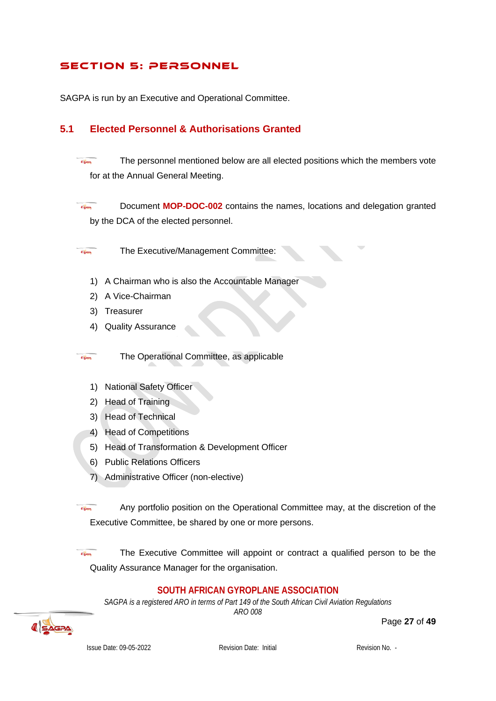# <span id="page-26-0"></span>SECTION 5: PERSONNEL

SAGPA is run by an Executive and Operational Committee.

# <span id="page-26-1"></span>**5.1 Elected Personnel & Authorisations Granted**

The personnel mentioned below are all elected positions which the members vote d game for at the Annual General Meeting.

Document **MOP-DOC-002** contains the names, locations and delegation granted di guara by the DCA of the elected personnel.

distant

The Executive/Management Committee:

- 1) A Chairman who is also the Accountable Manager
- 2) A Vice-Chairman
- 3) Treasurer
- 4) Quality Assurance

The Operational Committee, as applicable

- 1) National Safety Officer
- 2) Head of Training
- 3) Head of Technical
- 4) Head of Competitions
- 5) Head of Transformation & Development Officer
- 6) Public Relations Officers
- 7) Administrative Officer (non-elective)

di Bana Any portfolio position on the Operational Committee may, at the discretion of the Executive Committee, be shared by one or more persons.

The Executive Committee will appoint or contract a qualified person to be the d'étant Quality Assurance Manager for the organisation.

### **SOUTH AFRICAN GYROPLANE ASSOCIATION**

*SAGPA is a registered ARO in terms of Part 149 of the South African Civil Aviation Regulations ARO 008* Page **27** of **49**

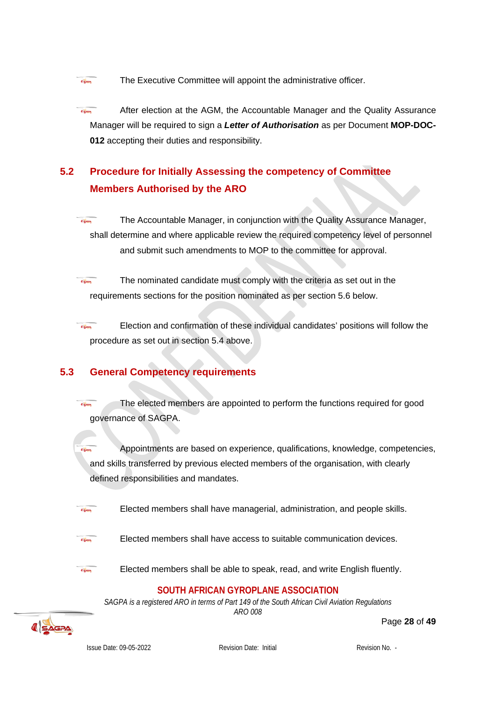The Executive Committee will appoint the administrative officer. e gang

After election at the AGM, the Accountable Manager and the Quality Assurance d'élement Manager will be required to sign a *Letter of Authorisation* as per Document **MOP-DOC-012** accepting their duties and responsibility.

# <span id="page-27-0"></span>**5.2 Procedure for Initially Assessing the competency of Committee Members Authorised by the ARO**

The Accountable Manager, in conjunction with the Quality Assurance Manager, d'autres shall determine and where applicable review the required competency level of personnel and submit such amendments to MOP to the committee for approval.

The nominated candidate must comply with the criteria as set out in the d Chann requirements sections for the position nominated as per section 5.6 below.

Election and confirmation of these individual candidates' positions will follow the d'États procedure as set out in section 5.4 above.

# <span id="page-27-1"></span>**5.3 General Competency requirements**

The elected members are appointed to perform the functions required for good **Chain** governance of SAGPA.

Appointments are based on experience, qualifications, knowledge, competencies, and skills transferred by previous elected members of the organisation, with clearly defined responsibilities and mandates.

Elected members shall have managerial, administration, and people skills.

- Elected members shall have access to suitable communication devices.
- a Shann

Elected members shall be able to speak, read, and write English fluently.

# **SOUTH AFRICAN GYROPLANE ASSOCIATION**

*SAGPA is a registered ARO in terms of Part 149 of the South African Civil Aviation Regulations ARO 008* Page **28** of **49**

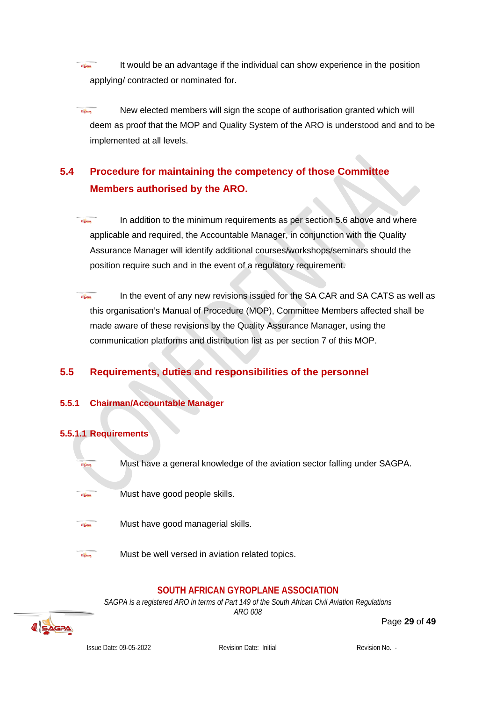It would be an advantage if the individual can show experience in the position d Rome applying/ contracted or nominated for.

New elected members will sign the scope of authorisation granted which will d'élement deem as proof that the MOP and Quality System of the ARO is understood and and to be implemented at all levels.

# <span id="page-28-0"></span>**5.4 Procedure for maintaining the competency of those Committee Members authorised by the ARO.**

d'élement In addition to the minimum requirements as per section 5.6 above and where applicable and required, the Accountable Manager, in conjunction with the Quality Assurance Manager will identify additional courses/workshops/seminars should the position require such and in the event of a regulatory requirement.

In the event of any new revisions issued for the SA CAR and SA CATS as well as  $\epsilon$  ,  $\epsilon$ this organisation's Manual of Procedure (MOP), Committee Members affected shall be made aware of these revisions by the Quality Assurance Manager, using the communication platforms and distribution list as per section 7 of this MOP.

# <span id="page-28-1"></span>**5.5 Requirements, duties and responsibilities of the personnel**

### **5.5.1 Chairman/Accountable Manager**

# **5.5.1.1 Requirements**

Must have a general knowledge of the aviation sector falling under SAGPA.

- Must have good people skills.
- Must have good managerial skills.
- Must be well versed in aviation related topics.a those

# **SOUTH AFRICAN GYROPLANE ASSOCIATION**

*SAGPA is a registered ARO in terms of Part 149 of the South African Civil Aviation Regulations ARO 008* Page **29** of **49**

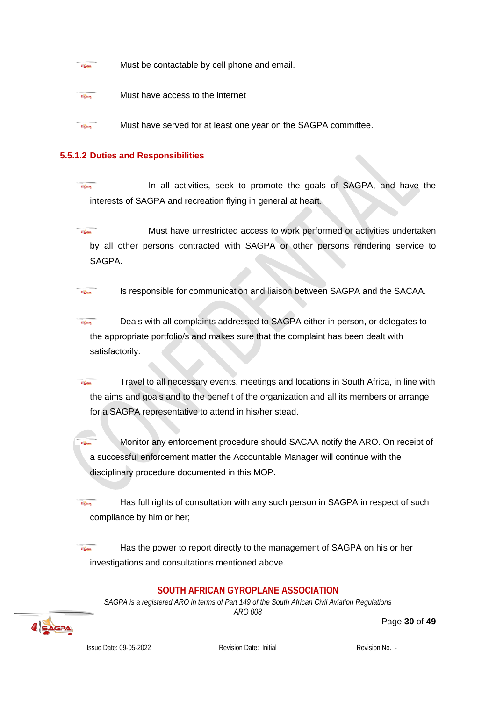



Must have access to the internet

Must have served for at least one year on the SAGPA committee.

### **5.5.1.2 Duties and Responsibilities**

- In all activities, seek to promote the goals of SAGPA, and have the d'Orana interests of SAGPA and recreation flying in general at heart.
- d'Oran Must have unrestricted access to work performed or activities undertaken by all other persons contracted with SAGPA or other persons rendering service to **SAGPA**
- Is responsible for communication and liaison between SAGPA and the SACAA.
- **Chann** Deals with all complaints addressed to SAGPA either in person, or delegates to the appropriate portfolio/s and makes sure that the complaint has been dealt with satisfactorily.
- Travel to all necessary events, meetings and locations in South Africa, in line with allen. the aims and goals and to the benefit of the organization and all its members or arrange for a SAGPA representative to attend in his/her stead.
- Monitor any enforcement procedure should SACAA notify the ARO. On receipt of a successful enforcement matter the Accountable Manager will continue with the disciplinary procedure documented in this MOP.
- a Bana Has full rights of consultation with any such person in SAGPA in respect of such compliance by him or her;

Has the power to report directly to the management of SAGPA on his or her d Corn investigations and consultations mentioned above.

### **SOUTH AFRICAN GYROPLANE ASSOCIATION**

*SAGPA is a registered ARO in terms of Part 149 of the South African Civil Aviation Regulations ARO 008* Page **30** of **49**

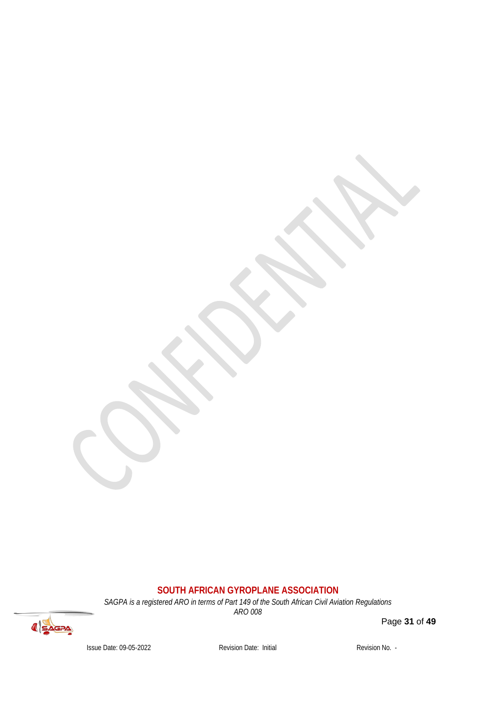# **SOUTH AFRICAN GYROPLANE ASSOCIATION**

*SAGPA is a registered ARO in terms of Part 149 of the South African Civil Aviation Regulations ARO 008* Page **31** of **49**



Issue Date: 09-05-2022 Revision Date: Initial Revision Date: Initial Revision No. -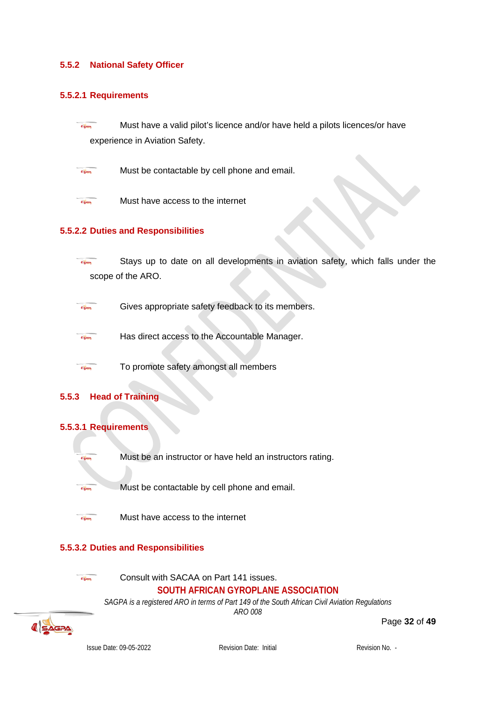### **5.5.2 National Safety Officer**

### **5.5.2.1 Requirements**

d'Oran Must have a valid pilot's licence and/or have held a pilots licences/or have experience in Aviation Safety.



Must have access to the internet

### **5.5.2.2 Duties and Responsibilities**



- Gives appropriate safety feedback to its members. a Um
- Has direct access to the Accountable Manager. al Blom
- To promote safety amongst all members **Chain**

### **5.5.3 Head of Training**

### **5.5.3.1 Requirements**



Must be an instructor or have held an instructors rating.

Must be contactable by cell phone and email.



e gam

Must have access to the internet

### **5.5.3.2 Duties and Responsibilities**



**SOUTH AFRICAN GYROPLANE ASSOCIATION** Consult with SACAA on Part 141 issues.

*SAGPA is a registered ARO in terms of Part 149 of the South African Civil Aviation Regulations ARO 008*



Issue Date: 09-05-2022 Revision Date: Initial Revision No. -

Page **32** of **49**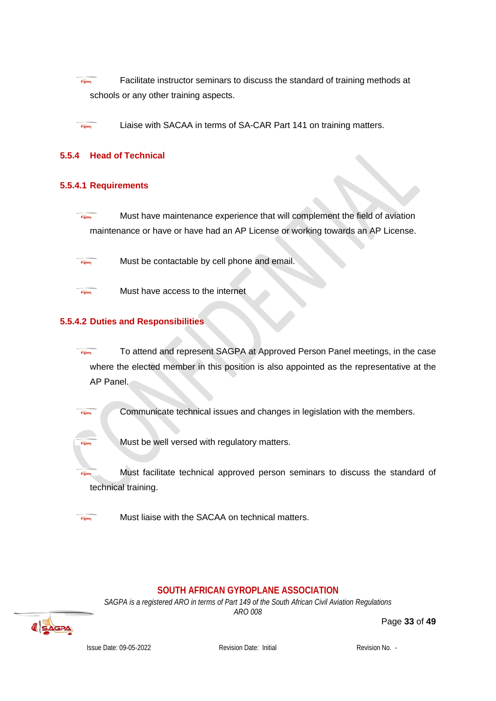Facilitate instructor seminars to discuss the standard of training methods at d'étant schools or any other training aspects.

Liaise with SACAA in terms of SA-CAR Part 141 on training matters.

### **5.5.4 Head of Technical**

### **5.5.4.1 Requirements**

Must have maintenance experience that will complement the field of aviation d'étant maintenance or have or have had an AP License or working towards an AP License.



Must be contactable by cell phone and email.

a Bann

Must have access to the internet

### **5.5.4.2 Duties and Responsibilities**

To attend and represent SAGPA at Approved Person Panel meetings, in the case **Com** where the elected member in this position is also appointed as the representative at the AP Panel.

Communicate technical issues and changes in legislation with the members.



Must be well versed with regulatory matters.

Must facilitate technical approved person seminars to discuss the standard of technical training.

Must liaise with the SACAA on technical matters.

### **SOUTH AFRICAN GYROPLANE ASSOCIATION**

*SAGPA is a registered ARO in terms of Part 149 of the South African Civil Aviation Regulations ARO 008* Page **33** of **49**

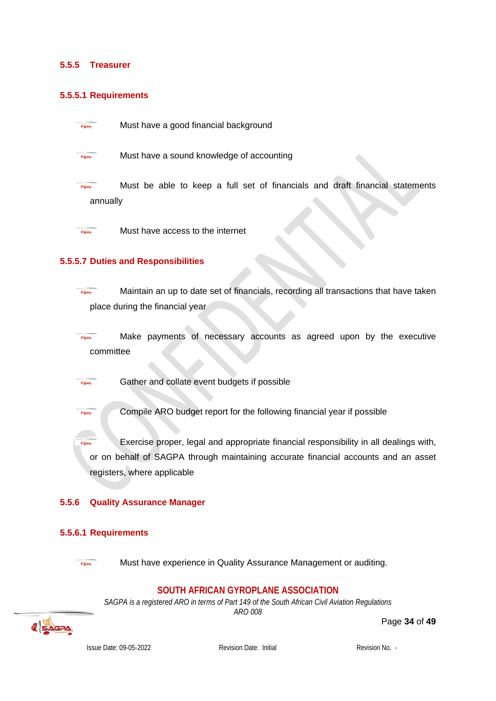#### **5.5.5 Treasurer**

### **5.5.5.1 Requirements**



Must have a good financial background



Must have a sound knowledge of accounting

Must be able to keep a full set of financials and draft financial statements **Com** annually



Must have access to the internet

### **5.5.5.7 Duties and Responsibilities**

diam

Maintain an up to date set of financials, recording all transactions that have taken place during the financial year

Make payments of necessary accounts as agreed upon by the executive d Bang committee

Gather and collate event budgets if possible

Compile ARO budget report for the following financial year if possible

Exercise proper, legal and appropriate financial responsibility in all dealings with, or on behalf of SAGPA through maintaining accurate financial accounts and an asset registers, where applicable

### **5.5.6 Quality Assurance Manager**

#### **5.5.6.1 Requirements**



Must have experience in Quality Assurance Management or auditing.

### **SOUTH AFRICAN GYROPLANE ASSOCIATION**

*SAGPA is a registered ARO in terms of Part 149 of the South African Civil Aviation Regulations ARO 008*



Issue Date: 09-05-2022 Revision Date: Initial Revision No. -

Page **34** of **49**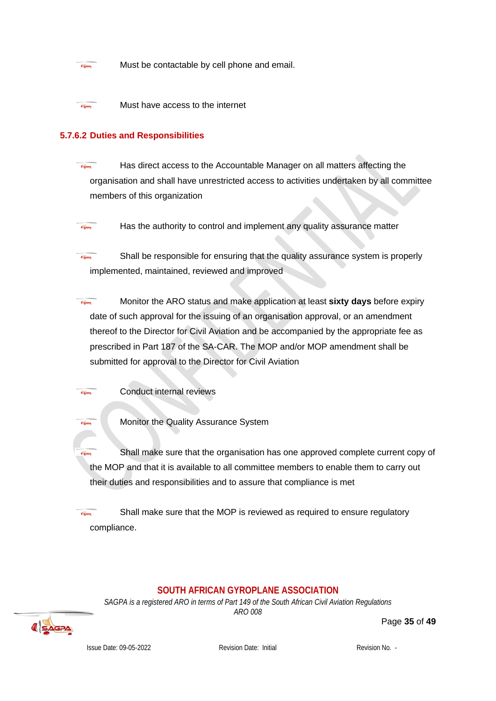

Must be contactable by cell phone and email.

Must have access to the internet

### **5.7.6.2 Duties and Responsibilities**

- Has direct access to the Accountable Manager on all matters affecting the d'anne organisation and shall have unrestricted access to activities undertaken by all committee members of this organization
	- Has the authority to control and implement any quality assurance matter

Shall be responsible for ensuring that the quality assurance system is properly a duni implemented, maintained, reviewed and improved

- d Bank Monitor the ARO status and make application at least **sixty days** before expiry date of such approval for the issuing of an organisation approval, or an amendment thereof to the Director for Civil Aviation and be accompanied by the appropriate fee as prescribed in Part 187 of the SA-CAR. The MOP and/or MOP amendment shall be submitted for approval to the Director for Civil Aviation
	- Conduct internal reviews

Monitor the Quality Assurance System

Shall make sure that the organisation has one approved complete current copy of the MOP and that it is available to all committee members to enable them to carry out their duties and responsibilities and to assure that compliance is met

Shall make sure that the MOP is reviewed as required to ensure regulatory a Bann compliance.

### **SOUTH AFRICAN GYROPLANE ASSOCIATION**

*SAGPA is a registered ARO in terms of Part 149 of the South African Civil Aviation Regulations ARO 008* Page **35** of **49**

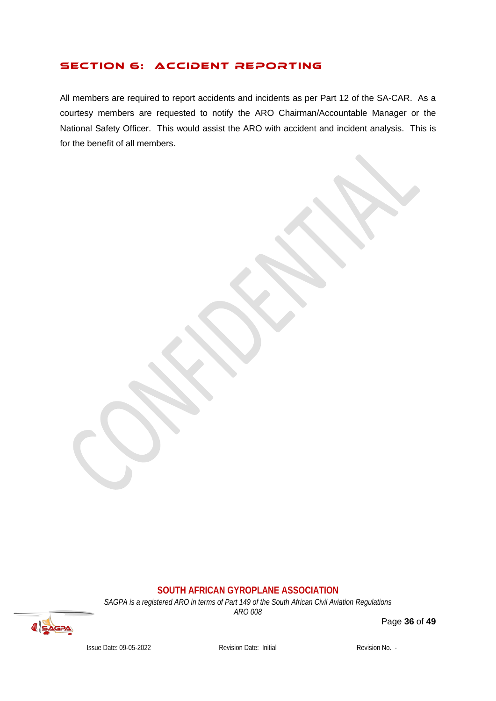# <span id="page-35-0"></span>SECTION 6: ACCIDENT REPORTING

All members are required to report accidents and incidents as per Part 12 of the SA-CAR. As a courtesy members are requested to notify the ARO Chairman/Accountable Manager or the National Safety Officer. This would assist the ARO with accident and incident analysis. This is for the benefit of all members.

### **SOUTH AFRICAN GYROPLANE ASSOCIATION**

*SAGPA is a registered ARO in terms of Part 149 of the South African Civil Aviation Regulations ARO 008*



Issue Date: 09-05-2022 Revision Date: Initial Revision Date: Initial Revision No. -

Page **36** of **49**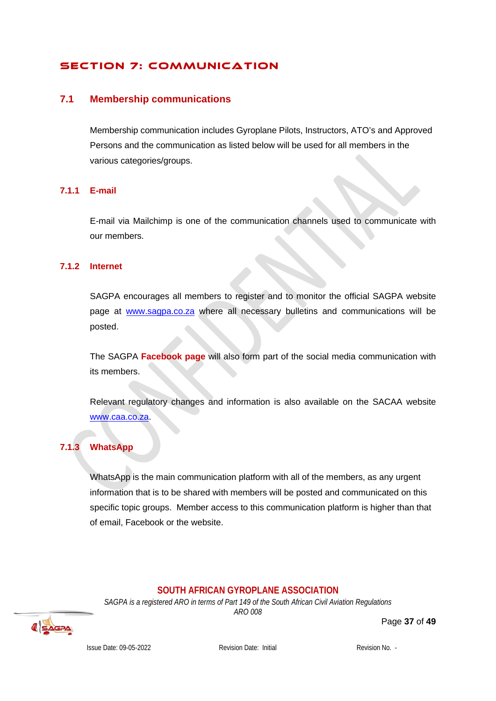# <span id="page-36-0"></span>SECTION 7: COMMUNICATION

### <span id="page-36-1"></span>**7.1 Membership communications**

Membership communication includes Gyroplane Pilots, Instructors, ATO's and Approved Persons and the communication as listed below will be used for all members in the various categories/groups.

### **7.1.1 E-mail**

E-mail via Mailchimp is one of the communication channels used to communicate with our members.

### **7.1.2 Internet**

SAGPA encourages all members to register and to monitor the official SAGPA website page at [www.sagpa.co.za](http://www.sagpa.co.za/) where all necessary bulletins and communications will be posted.

The SAGPA **Facebook page** will also form part of the social media communication with its members.

Relevant regulatory changes and information is also available on the SACAA website [www.caa.co.za.](http://www.caa.co.za/)

### **7.1.3 WhatsApp**

WhatsApp is the main communication platform with all of the members, as any urgent information that is to be shared with members will be posted and communicated on this specific topic groups. Member access to this communication platform is higher than that of email, Facebook or the website.

### **SOUTH AFRICAN GYROPLANE ASSOCIATION**

*SAGPA is a registered ARO in terms of Part 149 of the South African Civil Aviation Regulations ARO 008* Page **37** of **49**

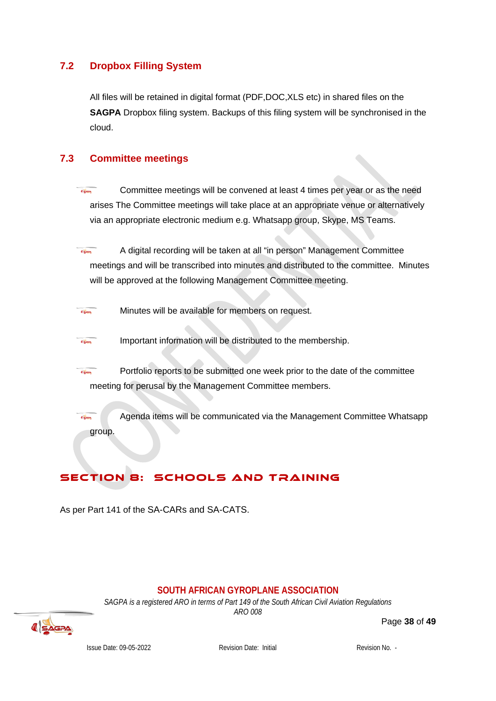# <span id="page-37-0"></span>**7.2 Dropbox Filling System**

All files will be retained in digital format (PDF,DOC,XLS etc) in shared files on the **SAGPA** Dropbox filing system. Backups of this filing system will be synchronised in the cloud.

# <span id="page-37-1"></span>**7.3 Committee meetings**

- Committee meetings will be convened at least 4 times per year or as the need d'élem arises The Committee meetings will take place at an appropriate venue or alternatively via an appropriate electronic medium e.g. Whatsapp group, Skype, MS Teams.
- $\epsilon$ A digital recording will be taken at all "in person" Management Committee meetings and will be transcribed into minutes and distributed to the committee. Minutes will be approved at the following Management Committee meeting.
- Minutes will be available for members on request. a Shann
- Important information will be distributed to the membership.
- Portfolio reports to be submitted one week prior to the date of the committee **Chang** meeting for perusal by the Management Committee members.
- Agenda items will be communicated via the Management Committee Whatsapp d'alumn group.

# <span id="page-37-2"></span>SECTION 8: SCHOOLS AND TRAINING

As per Part 141 of the SA-CARs and SA-CATS.

### **SOUTH AFRICAN GYROPLANE ASSOCIATION**

*SAGPA is a registered ARO in terms of Part 149 of the South African Civil Aviation Regulations ARO 008*



Issue Date: 09-05-2022 Revision Date: Initial Revision No. -

Page **38** of **49**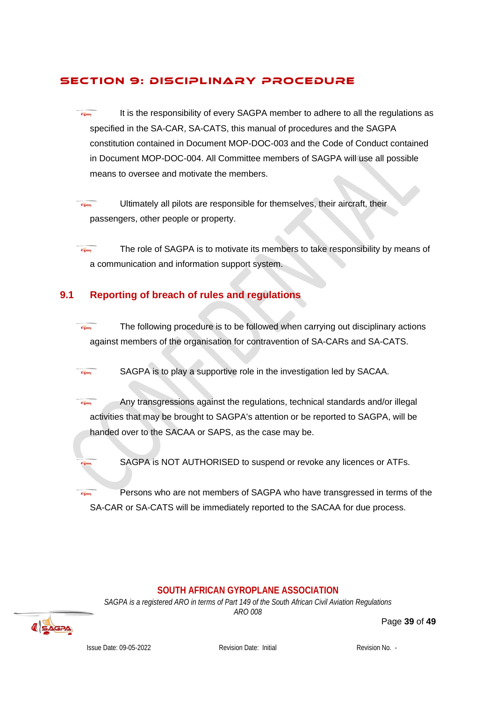# <span id="page-38-0"></span>SECTION 9: DISCIPLINARY PROCEDURE

- It is the responsibility of every SAGPA member to adhere to all the regulations as d glass specified in the SA-CAR, SA-CATS, this manual of procedures and the SAGPA constitution contained in Document MOP-DOC-003 and the Code of Conduct contained in Document MOP-DOC-004. All Committee members of SAGPA will use all possible means to oversee and motivate the members.
- **Com** Ultimately all pilots are responsible for themselves, their aircraft, their passengers, other people or property.
- The role of SAGPA is to motivate its members to take responsibility by means of d Bank a communication and information support system.

# <span id="page-38-1"></span>**9.1 Reporting of breach of rules and regulations**

- The following procedure is to be followed when carrying out disciplinary actions diam. against members of the organisation for contravention of SA-CARs and SA-CATS.
	- SAGPA is to play a supportive role in the investigation led by SACAA.
- Any transgressions against the regulations, technical standards and/or illegal **Claim** activities that may be brought to SAGPA's attention or be reported to SAGPA, will be handed over to the SACAA or SAPS, as the case may be.
	- SAGPA is NOT AUTHORISED to suspend or revoke any licences or ATFs.
	- Persons who are not members of SAGPA who have transgressed in terms of the SA-CAR or SA-CATS will be immediately reported to the SACAA for due process.

# **SOUTH AFRICAN GYROPLANE ASSOCIATION**

*SAGPA is a registered ARO in terms of Part 149 of the South African Civil Aviation Regulations ARO 008* Page **39** of **49**

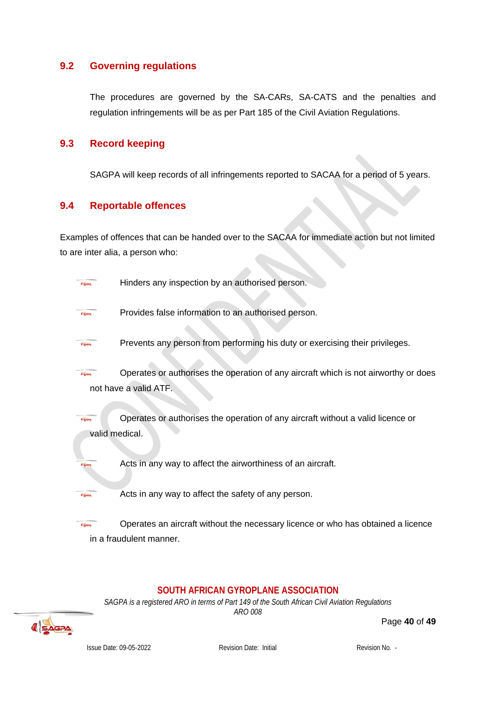### <span id="page-39-0"></span>**9.2 Governing regulations**

The procedures are governed by the SA-CARs, SA-CATS and the penalties and regulation infringements will be as per Part 185 of the Civil Aviation Regulations.

### <span id="page-39-1"></span>**9.3 Record keeping**

SAGPA will keep records of all infringements reported to SACAA for a period of 5 years.

### <span id="page-39-2"></span>**9.4 Reportable offences**

Examples of offences that can be handed over to the SACAA for immediate action but not limited to are inter alia, a person who:



Hinders any inspection by an authorised person.

- Provides false information to an authorised person.
- Prevents any person from performing his duty or exercising their privileges.

Operates or authorises the operation of any aircraft which is not airworthy or does e gang not have a valid ATF.

Operates or authorises the operation of any aircraft without a valid licence or a Bana valid medical.



- Acts in any way to affect the safety of any person.
- Operates an aircraft without the necessary licence or who has obtained a licence d'Europa in a fraudulent manner.

### **SOUTH AFRICAN GYROPLANE ASSOCIATION**

*SAGPA is a registered ARO in terms of Part 149 of the South African Civil Aviation Regulations ARO 008*



Issue Date: 09-05-2022 Revision Date: Initial Revision No. -

Page **40** of **49**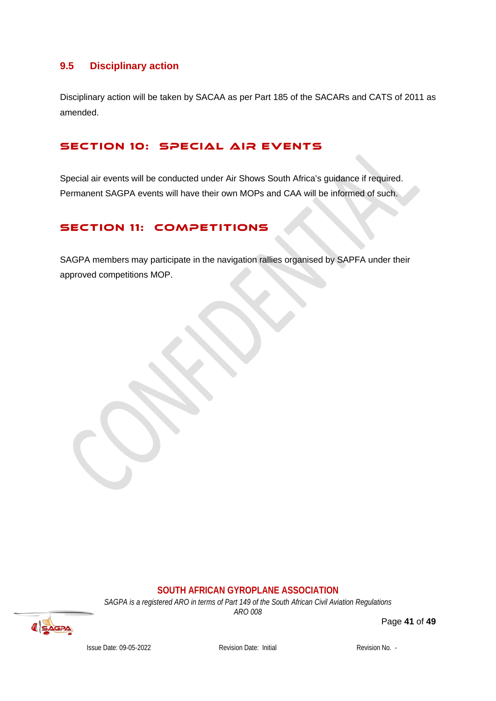### <span id="page-40-0"></span>**9.5 Disciplinary action**

Disciplinary action will be taken by SACAA as per Part 185 of the SACARs and CATS of 2011 as amended.

### <span id="page-40-1"></span>SECTION 10: SPECIAL AIR EVENTS

Special air events will be conducted under Air Shows South Africa's guidance if required. Permanent SAGPA events will have their own MOPs and CAA will be informed of such.

# <span id="page-40-2"></span>SECTION 11: COMPETITIONS

SAGPA members may participate in the navigation rallies organised by SAPFA under their approved competitions MOP.

# **SOUTH AFRICAN GYROPLANE ASSOCIATION**

*SAGPA is a registered ARO in terms of Part 149 of the South African Civil Aviation Regulations ARO 008*



Issue Date: 09-05-2022 Revision Date: Initial Revision No. -

Page **41** of **49**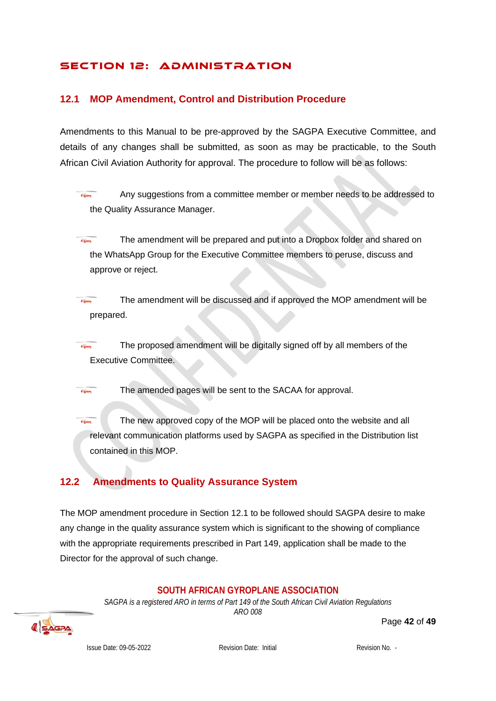# <span id="page-41-0"></span>SECTION 12: ADMINISTRATION

### <span id="page-41-1"></span>**12.1 MOP Amendment, Control and Distribution Procedure**

Amendments to this Manual to be pre-approved by the SAGPA Executive Committee, and details of any changes shall be submitted, as soon as may be practicable, to the South African Civil Aviation Authority for approval. The procedure to follow will be as follows:

- Any suggestions from a committee member or member needs to be addressed to **Comme** the Quality Assurance Manager.
- $\epsilon$ The amendment will be prepared and put into a Dropbox folder and shared on the WhatsApp Group for the Executive Committee members to peruse, discuss and approve or reject.
- The amendment will be discussed and if approved the MOP amendment will be alline. prepared.
- The proposed amendment will be digitally signed off by all members of the a duna Executive Committee.

The amended pages will be sent to the SACAA for approval. d'États

The new approved copy of the MOP will be placed onto the website and all a Shann relevant communication platforms used by SAGPA as specified in the Distribution list contained in this MOP.

# <span id="page-41-2"></span>**12.2 Amendments to Quality Assurance System**

The MOP amendment procedure in Section 12.1 to be followed should SAGPA desire to make any change in the quality assurance system which is significant to the showing of compliance with the appropriate requirements prescribed in Part 149, application shall be made to the Director for the approval of such change.

### **SOUTH AFRICAN GYROPLANE ASSOCIATION**

*SAGPA is a registered ARO in terms of Part 149 of the South African Civil Aviation Regulations ARO 008* Page **42** of **49**

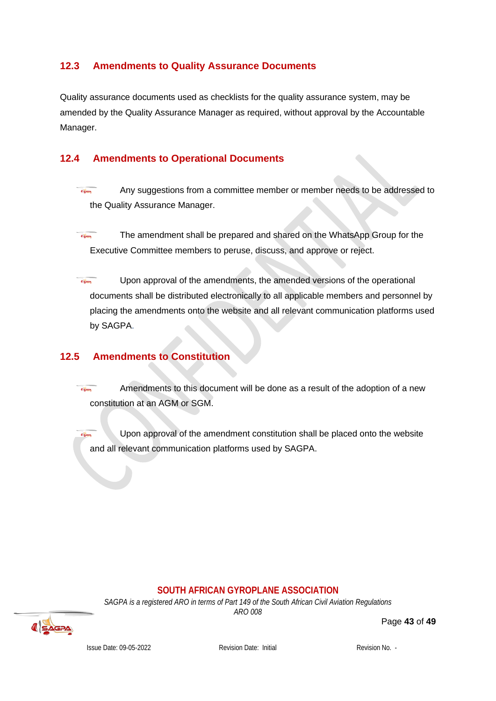# <span id="page-42-0"></span>**12.3 Amendments to Quality Assurance Documents**

Quality assurance documents used as checklists for the quality assurance system, may be amended by the Quality Assurance Manager as required, without approval by the Accountable Manager.

# <span id="page-42-1"></span>**12.4 Amendments to Operational Documents**

- Any suggestions from a committee member or member needs to be addressed to all de the Quality Assurance Manager.
- The amendment shall be prepared and shared on the WhatsApp Group for the d'alisse Executive Committee members to peruse, discuss, and approve or reject.
- Upon approval of the amendments, the amended versions of the operational di glumn documents shall be distributed electronically to all applicable members and personnel by placing the amendments onto the website and all relevant communication platforms used by SAGPA.

### <span id="page-42-2"></span>**12.5 Amendments to Constitution**

- Amendments to this document will be done as a result of the adoption of a new di ganna constitution at an AGM or SGM.
	- Upon approval of the amendment constitution shall be placed onto the website and all relevant communication platforms used by SAGPA.

### **SOUTH AFRICAN GYROPLANE ASSOCIATION**

*SAGPA is a registered ARO in terms of Part 149 of the South African Civil Aviation Regulations ARO 008*



Issue Date: 09-05-2022 Revision Date: Initial Revision No. -

Page **43** of **49**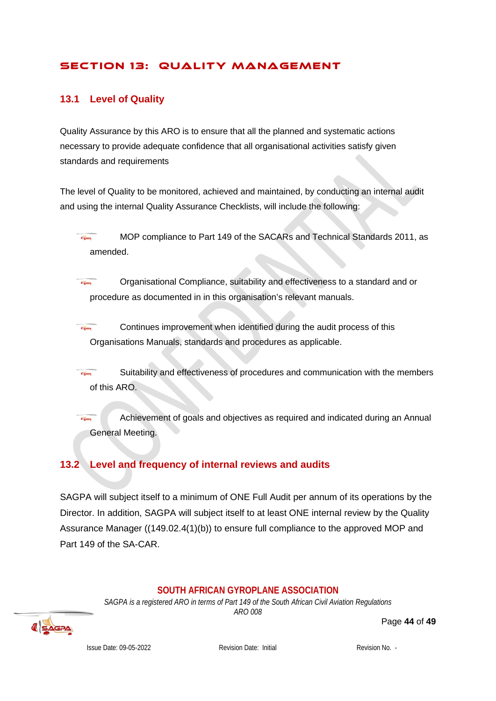# <span id="page-43-0"></span>SECTION 13: QUALITY MANAGEMENT

# <span id="page-43-1"></span>**13.1 Level of Quality**

Quality Assurance by this ARO is to ensure that all the planned and systematic actions necessary to provide adequate confidence that all organisational activities satisfy given standards and requirements

The level of Quality to be monitored, achieved and maintained, by conducting an internal audit and using the internal Quality Assurance Checklists, will include the following:

MOP compliance to Part 149 of the SACARs and Technical Standards 2011, as althour. amended.

Organisational Compliance, suitability and effectiveness to a standard and or **citizen** procedure as documented in in this organisation's relevant manuals.

Continues improvement when identified during the audit process of this **Common** Organisations Manuals, standards and procedures as applicable.

Suitability and effectiveness of procedures and communication with the members of this ARO.

Achievement of goals and objectives as required and indicated during an Annual d dans General Meeting.

# <span id="page-43-2"></span>**13.2 Level and frequency of internal reviews and audits**

SAGPA will subject itself to a minimum of ONE Full Audit per annum of its operations by the Director. In addition, SAGPA will subject itself to at least ONE internal review by the Quality Assurance Manager ((149.02.4(1)(b)) to ensure full compliance to the approved MOP and Part 149 of the SA-CAR.

# **SOUTH AFRICAN GYROPLANE ASSOCIATION**

*SAGPA is a registered ARO in terms of Part 149 of the South African Civil Aviation Regulations ARO 008* Page **44** of **49**

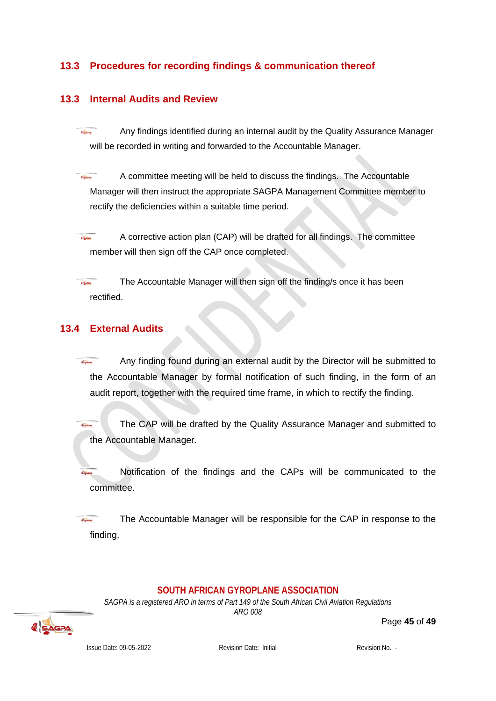# <span id="page-44-0"></span>**13.3 Procedures for recording findings & communication thereof**

# **13.3 Internal Audits and Review**

- d Bank Any findings identified during an internal audit by the Quality Assurance Manager will be recorded in writing and forwarded to the Accountable Manager.
- A committee meeting will be held to discuss the findings. The Accountable  $\epsilon|_{\frac{1}{2} \text{temp}}$ Manager will then instruct the appropriate SAGPA Management Committee member to rectify the deficiencies within a suitable time period.
- A corrective action plan (CAP) will be drafted for all findings. The committee **Allen** member will then sign off the CAP once completed.
- The Accountable Manager will then sign off the finding/s once it has been  $\epsilon$ rectified.

# **13.4 External Audits**

- Any finding found during an external audit by the Director will be submitted to diams. the Accountable Manager by formal notification of such finding, in the form of an audit report, together with the required time frame, in which to rectify the finding.
- The CAP will be drafted by the Quality Assurance Manager and submitted to the Accountable Manager.
- Notification of the findings and the CAPs will be communicated to the committee.

The Accountable Manager will be responsible for the CAP in response to the diam<sup>1</sup> finding.

### **SOUTH AFRICAN GYROPLANE ASSOCIATION**

*SAGPA is a registered ARO in terms of Part 149 of the South African Civil Aviation Regulations ARO 008* Page **45** of **49**

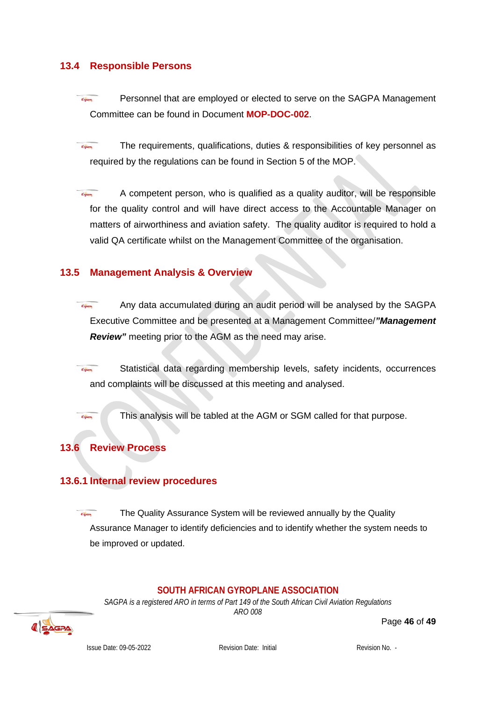# <span id="page-45-0"></span>**13.4 Responsible Persons**

Personnel that are employed or elected to serve on the SAGPA Management diam<sup>1</sup> Committee can be found in Document **MOP-DOC-002**.

diams. The requirements, qualifications, duties & responsibilities of key personnel as required by the regulations can be found in Section 5 of the MOP.

A competent person, who is qualified as a quality auditor, will be responsible diams. for the quality control and will have direct access to the Accountable Manager on matters of airworthiness and aviation safety. The quality auditor is required to hold a valid QA certificate whilst on the Management Committee of the organisation.

# <span id="page-45-1"></span>**13.5 Management Analysis & Overview**

Any data accumulated during an audit period will be analysed by the SAGPA diams. Executive Committee and be presented at a Management Committee/*"Management Review"* meeting prior to the AGM as the need may arise.

Statistical data regarding membership levels, safety incidents, occurrences **Chains** and complaints will be discussed at this meeting and analysed.

This analysis will be tabled at the AGM or SGM called for that purpose.

# <span id="page-45-2"></span>**13.6 Review Process**

# **13.6.1 Internal review procedures**

The Quality Assurance System will be reviewed annually by the Quality Assurance Manager to identify deficiencies and to identify whether the system needs to be improved or updated.

### **SOUTH AFRICAN GYROPLANE ASSOCIATION**

*SAGPA is a registered ARO in terms of Part 149 of the South African Civil Aviation Regulations ARO 008* Page **46** of **49**

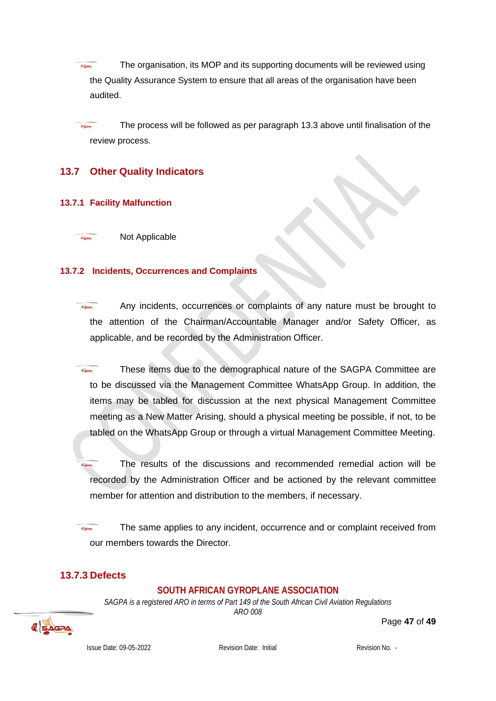The organisation, its MOP and its supporting documents will be reviewed using d'Orana the Quality Assurance System to ensure that all areas of the organisation have been audited.

The process will be followed as per paragraph 13.3 above until finalisation of the a duni review process.

# <span id="page-46-0"></span>**13.7 Other Quality Indicators**

### **13.7.1 Facility Malfunction**

Not Applicable

### **13.7.2 Incidents, Occurrences and Complaints**

Any incidents, occurrences or complaints of any nature must be brought to **Chains** the attention of the Chairman/Accountable Manager and/or Safety Officer, as applicable, and be recorded by the Administration Officer.

These items due to the demographical nature of the SAGPA Committee are **d'Anne** to be discussed via the Management Committee WhatsApp Group. In addition, the items may be tabled for discussion at the next physical Management Committee meeting as a New Matter Arising, should a physical meeting be possible, if not, to be tabled on the WhatsApp Group or through a virtual Management Committee Meeting.

The results of the discussions and recommended remedial action will be recorded by the Administration Officer and be actioned by the relevant committee member for attention and distribution to the members, if necessary.

The same applies to any incident, occurrence and or complaint received from **Takens** our members towards the Director.

# **13.7.3 Defects**

# **SOUTH AFRICAN GYROPLANE ASSOCIATION**

*SAGPA is a registered ARO in terms of Part 149 of the South African Civil Aviation Regulations ARO 008* Page **47** of **49**

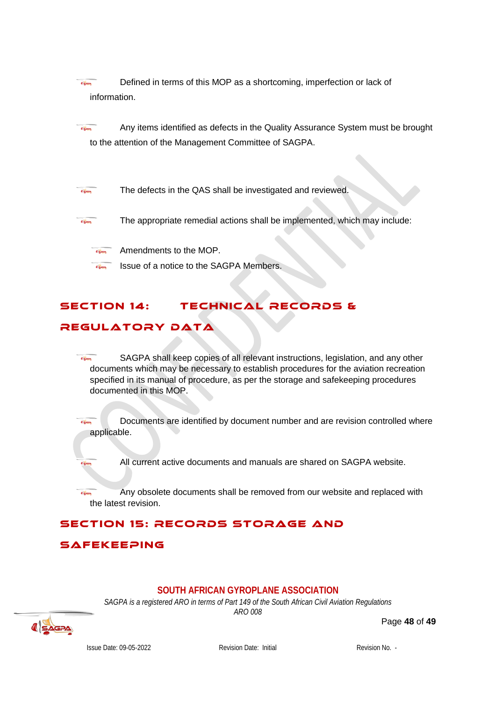Defined in terms of this MOP as a shortcoming, imperfection or lack of d'Anna information.

Any items identified as defects in the Quality Assurance System must be brought d'Onne to the attention of the Management Committee of SAGPA.

The defects in the QAS shall be investigated and reviewed.



The appropriate remedial actions shall be implemented, which may include:



Amendments to the MOP.

Issue of a notice to the SAGPA Members.

# <span id="page-47-0"></span>SECTION 14: TECHNICAL RECORDS &

# <span id="page-47-1"></span>REGULATORY DATA

SAGPA shall keep copies of all relevant instructions, legislation, and any other **eliginary** documents which may be necessary to establish procedures for the aviation recreation specified in its manual of procedure, as per the storage and safekeeping procedures documented in this MOP.

Documents are identified by document number and are revision controlled where a Bana applicable.

All current active documents and manuals are shared on SAGPA website.

Any obsolete documents shall be removed from our website and replaced with d game the latest revision.

# <span id="page-47-2"></span>Section 15: RECORDS STORAGE AND

# <span id="page-47-3"></span>**SAFEKEEPING**

### **SOUTH AFRICAN GYROPLANE ASSOCIATION**

*SAGPA is a registered ARO in terms of Part 149 of the South African Civil Aviation Regulations ARO 008*



Issue Date: 09-05-2022 Revision Date: Initial Revision No. -

Page **48** of **49**